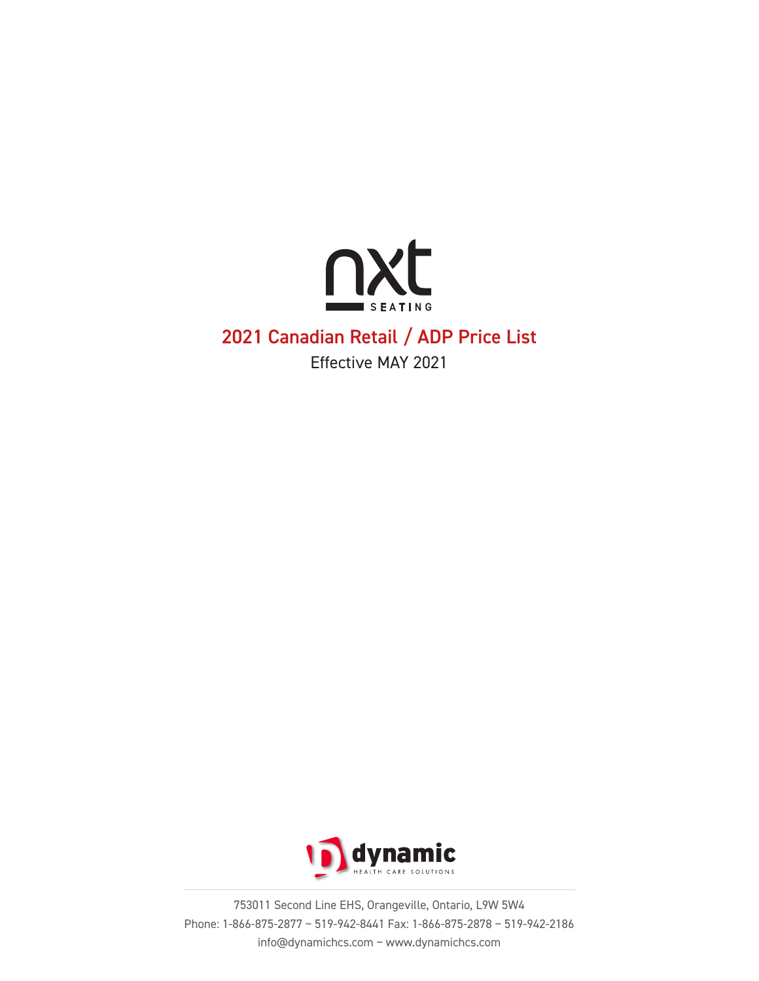

# 2021 Canadian Retail / ADP Price List

Effective MAY 2021



753011 Second Line EHS, Orangeville, Ontario, L9W 5W4 Phone: 1-866-875-2877 ~ 519-942-8441 Fax: 1-866-875-2878 ~ 519-942-2186 info@dynamichcs.com ~ www.dynamichcs.com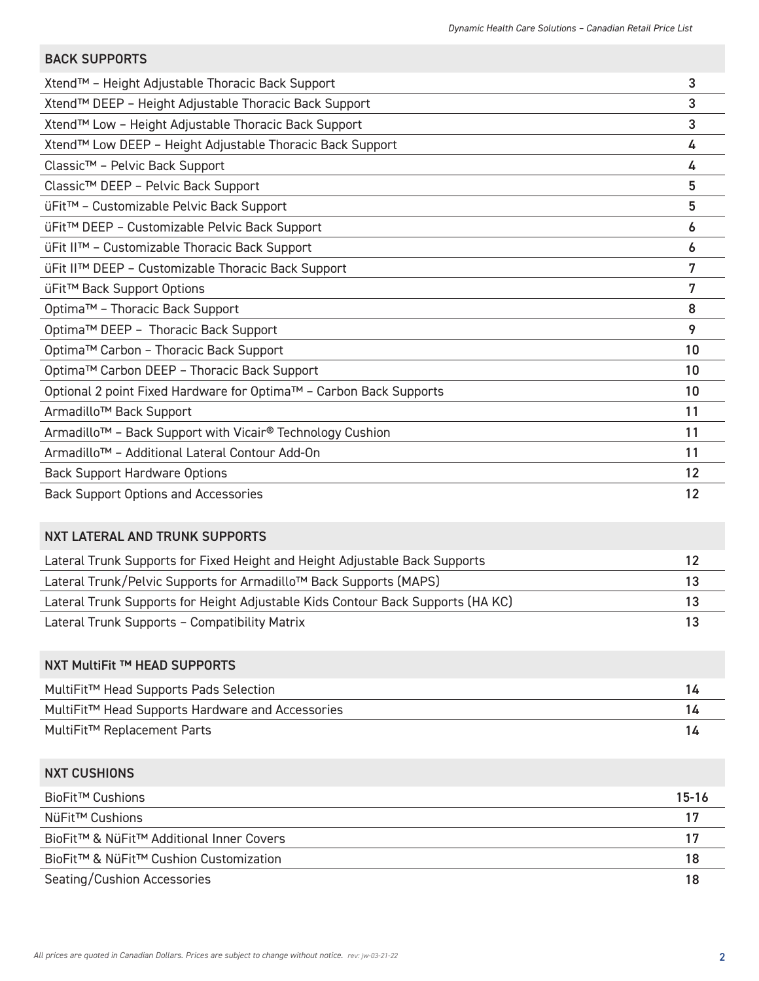| <b>BACK SUPPORTS</b>                                                              |           |
|-----------------------------------------------------------------------------------|-----------|
| Xtend™ - Height Adjustable Thoracic Back Support                                  | 3         |
| Xtend™ DEEP - Height Adjustable Thoracic Back Support                             | 3         |
| Xtend™ Low - Height Adjustable Thoracic Back Support                              | 3         |
| Xtend™ Low DEEP - Height Adjustable Thoracic Back Support                         | 4         |
| Classic <sup>™</sup> - Pelvic Back Support                                        | 4         |
| Classic <sup>™</sup> DEEP - Pelvic Back Support                                   | 5         |
| üFit™ - Customizable Pelvic Back Support                                          | 5         |
| üFit™ DEEP - Customizable Pelvic Back Support                                     | 6         |
| üFit II™ - Customizable Thoracic Back Support                                     | 6         |
| üFit II™ DEEP - Customizable Thoracic Back Support                                | 7         |
| üFit™ Back Support Options                                                        | 7         |
| Optima™ - Thoracic Back Support                                                   | 8         |
| Optima™ DEEP - Thoracic Back Support                                              | 9         |
| Optima™ Carbon - Thoracic Back Support                                            | 10        |
| Optima™ Carbon DEEP - Thoracic Back Support                                       | 10        |
| Optional 2 point Fixed Hardware for Optima™ - Carbon Back Supports                | 10        |
| Armadillo <sup>™</sup> Back Support                                               | 11        |
| Armadillo <sup>™</sup> - Back Support with Vicair <sup>®</sup> Technology Cushion | 11        |
| Armadillo <sup>™</sup> - Additional Lateral Contour Add-On                        | 11        |
| <b>Back Support Hardware Options</b>                                              | 12        |
| <b>Back Support Options and Accessories</b>                                       | 12        |
| NXT LATERAL AND TRUNK SUPPORTS                                                    |           |
| Lateral Trunk Supports for Fixed Height and Height Adjustable Back Supports       | 12        |
| Lateral Trunk/Pelvic Supports for Armadillo™ Back Supports (MAPS)                 | 13        |
| Lateral Trunk Supports for Height Adjustable Kids Contour Back Supports (HA KC)   | 13        |
| Lateral Trunk Supports - Compatibility Matrix                                     | 13        |
| NXT MultiFit ™ HEAD SUPPORTS                                                      |           |
| MultiFit™ Head Supports Pads Selection                                            | 14        |
| MultiFit™ Head Supports Hardware and Accessories                                  | 14        |
| MultiFit™ Replacement Parts                                                       | 14        |
| <b>NXT CUSHIONS</b>                                                               |           |
| BioFit™ Cushions                                                                  | $15 - 16$ |
| NüFit™ Cushions                                                                   | 17        |
| BioFit™ & NüFit™ Additional Inner Covers                                          | 17        |
| BioFit™ & NüFit™ Cushion Customization                                            | 18        |
| Seating/Cushion Accessories                                                       | 18        |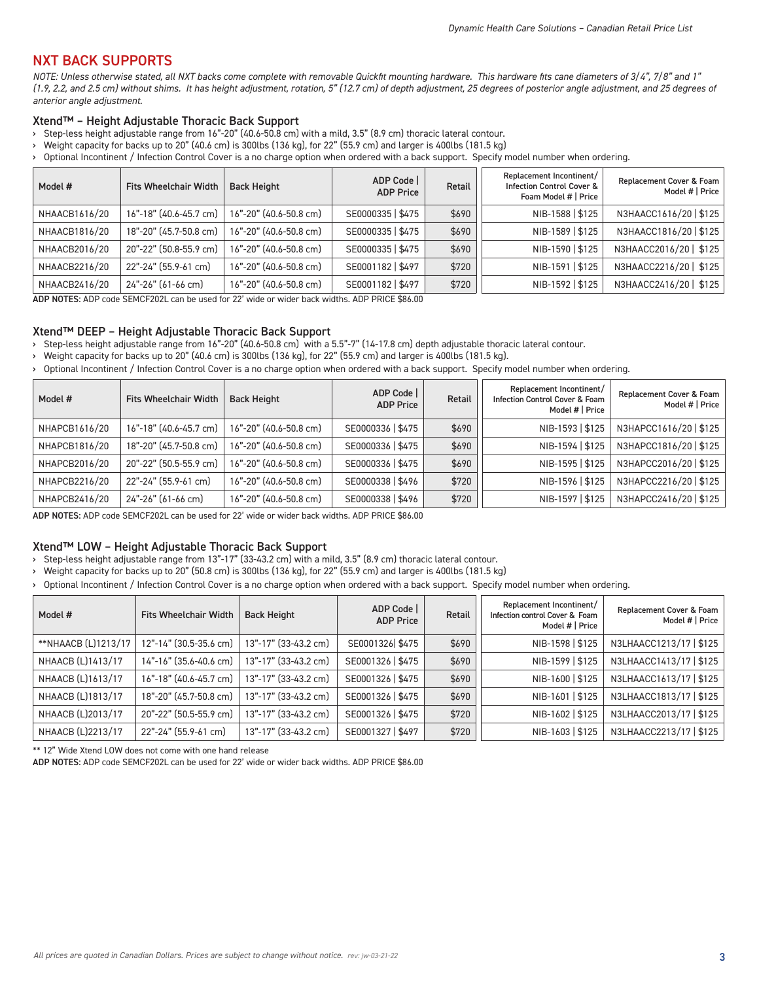## NXT BACK SUPPORTS

*NOTE: Unless otherwise stated, all NXT backs come complete with removable Quickfit mounting hardware. This hardware fits cane diameters of 3/4", 7/8" and 1" (1.9, 2.2, and 2.5 cm) without shims. It has height adjustment, rotation, 5" (12.7 cm) of depth adjustment, 25 degrees of posterior angle adjustment, and 25 degrees of anterior angle adjustment.*

#### Xtend™ – Height Adjustable Thoracic Back Support

- › Step-less height adjustable range from 16"-20" (40.6-50.8 cm) with a mild, 3.5" (8.9 cm) thoracic lateral contour.
- › Weight capacity for backs up to 20" (40.6 cm) is 300lbs (136 kg), for 22" (55.9 cm) and larger is 400lbs (181.5 kg)
- › Optional Incontinent / Infection Control Cover is a no charge option when ordered with a back support. Specify model number when ordering.

| Model #       | <b>Fits Wheelchair Width</b> | <b>Back Height</b>     | ADP Code<br><b>ADP Price</b> | Retail | Replacement Incontinent/<br><b>Infection Control Cover &amp;</b><br>Foam Model #   Price | Replacement Cover & Foam<br>Model #   Price |
|---------------|------------------------------|------------------------|------------------------------|--------|------------------------------------------------------------------------------------------|---------------------------------------------|
| NHAACB1616/20 | 16"-18" (40.6-45.7 cm)       | 16"-20" (40.6-50.8 cm) | SE0000335   \$475            | \$690  | NIB-1588   \$125                                                                         | N3HAACC1616/20   \$125                      |
| NHAACB1816/20 | 18"-20" (45.7-50.8 cm)       | 16"-20" (40.6-50.8 cm) | SE0000335   \$475            | \$690  | NIB-1589   \$125                                                                         | N3HAACC1816/20   \$125                      |
| NHAACB2016/20 | 20"-22" (50.8-55.9 cm)       | 16"-20" (40.6-50.8 cm) | SE0000335   \$475            | \$690  | NIB-1590   \$125                                                                         | N3HAACC2016/20   \$125                      |
| NHAACB2216/20 | 22"-24" (55.9-61 cm)         | 16"-20" (40.6-50.8 cm) | SE0001182   \$497            | \$720  | NIB-1591   \$125                                                                         | N3HAACC2216/20   \$125                      |
| NHAACB2416/20 | 24"-26" (61-66 cm)           | 16"-20" (40.6-50.8 cm) | SE0001182   \$497            | \$720  | NIB-1592   \$125                                                                         | N3HAACC2416/20   \$125                      |

ADP NOTES: ADP code SEMCF202L can be used for≧22' wide or wider back widths. ADP PRICE \$86.00

#### Xtend™ DEEP – Height Adjustable Thoracic Back Support

› Step-less height adjustable range from 16"-20" (40.6-50.8 cm) with a 5.5"-7" (14-17.8 cm) depth adjustable thoracic lateral contour.

› Weight capacity for backs up to 20" (40.6 cm) is 300lbs (136 kg), for 22" (55.9 cm) and larger is 400lbs (181.5 kg).

› Optional Incontinent / Infection Control Cover is a no charge option when ordered with a back support. Specify model number when ordering.

| Model #       | <b>Fits Wheelchair Width</b> | <b>Back Height</b>     | ADP Code<br><b>ADP Price</b> | Retail | Replacement Incontinent/<br><b>Infection Control Cover &amp; Foam</b><br>Model #   Price | Replacement Cover & Foam<br>Model #   Price |
|---------------|------------------------------|------------------------|------------------------------|--------|------------------------------------------------------------------------------------------|---------------------------------------------|
| NHAPCB1616/20 | 16"-18" (40.6-45.7 cm)       | 16"-20" (40.6-50.8 cm) | SE0000336   \$475            | \$690  | NIB-1593   \$125                                                                         | N3HAPCC1616/20   \$125                      |
| NHAPCB1816/20 | 18"-20" (45.7-50.8 cm)       | 16"-20" (40.6-50.8 cm) | SE0000336   \$475            | \$690  | NIB-1594   \$125                                                                         | N3HAPCC1816/20   \$125                      |
| NHAPCB2016/20 | 20"-22" (50.5-55.9 cm)       | 16"-20" (40.6-50.8 cm) | SE0000336   \$475            | \$690  | NIB-1595   \$125                                                                         | N3HAPCC2016/20   \$125                      |
| NHAPCB2216/20 | 22"-24" (55.9-61 cm)         | 16"-20" (40.6-50.8 cm) | SE0000338   \$496            | \$720  | NIB-1596   \$125                                                                         | N3HAPCC2216/20   \$125                      |
| NHAPCB2416/20 | 24"-26" (61-66 cm)           | 16"-20" (40.6-50.8 cm) | SE0000338   \$496            | \$720  | NIB-1597   \$125                                                                         | N3HAPCC2416/20   \$125                      |

ADP NOTES: ADP code SEMCF202L can be used for 22' wide or wider back widths. ADP PRICE \$86.00

#### Xtend™ LOW – Height Adjustable Thoracic Back Support

› Step-less height adjustable range from 13"-17" (33-43.2 cm) with a mild, 3.5" (8.9 cm) thoracic lateral contour.

› Weight capacity for backs up to 20" (50.8 cm) is 300lbs (136 kg), for 22" (55.9 cm) and larger is 400lbs (181.5 kg)

› Optional Incontinent / Infection Control Cover is a no charge option when ordered with a back support. Specify model number when ordering.

| Model #             | <b>Fits Wheelchair Width</b> | <b>Back Height</b>   | ADP Code<br><b>ADP Price</b> | <b>Retail</b> | Replacement Incontinent/<br>Infection control Cover & Foam<br>Model #   Price | Replacement Cover & Foam<br>Model #   Price |
|---------------------|------------------------------|----------------------|------------------------------|---------------|-------------------------------------------------------------------------------|---------------------------------------------|
| **NHAACB (L)1213/17 | 12"-14" (30.5-35.6 cm)       | 13"-17" (33-43.2 cm) | SE0001326 \$475              | \$690         | NIB-1598   \$125                                                              | N3LHAACC1213/17   \$125                     |
| NHAACB (L)1413/17   | 14"-16" (35.6-40.6 cm)       | 13"-17" (33-43.2 cm) | SE0001326   \$475            | \$690         | NIB-1599   \$125                                                              | N3LHAACC1413/17   \$125                     |
| NHAACB (L)1613/17   | 16"-18" (40.6-45.7 cm)       | 13"-17" (33-43.2 cm) | SE0001326   \$475            | \$690         | NIB-1600   \$125                                                              | N3LHAACC1613/17   \$125                     |
| NHAACB (L)1813/17   | 18"-20" (45.7-50.8 cm)       | 13"-17" (33-43.2 cm) | SE0001326   \$475            | \$690         | NIB-1601   \$125                                                              | N3LHAACC1813/17   \$125                     |
| NHAACB (L)2013/17   | 20"-22" (50.5-55.9 cm)       | 13"-17" (33-43.2 cm) | SE0001326   \$475            | \$720         | NIB-1602   \$125                                                              | N3LHAACC2013/17   \$125                     |
| NHAACB (L)2213/17   | 22"-24" (55.9-61 cm)         | 13"-17" (33-43.2 cm) | SE0001327   \$497            | \$720         | NIB-1603   \$125                                                              | N3LHAACC2213/17   \$125                     |

\*\* 12" Wide Xtend LOW does not come with one hand release

ADP NOTES: ADP code SEMCF202L can be used for≧22' wide or wider back widths. ADP PRICE \$86.00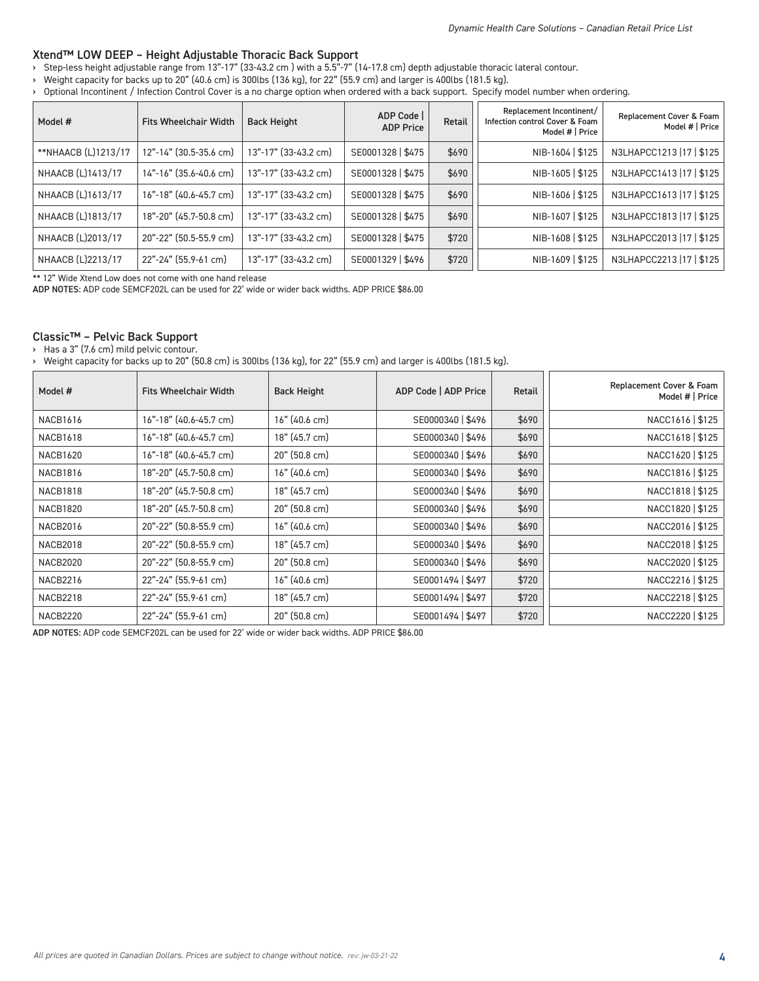#### Xtend™ LOW DEEP – Height Adjustable Thoracic Back Support

- › Step-less height adjustable range from 13"-17" (33-43.2 cm ) with a 5.5"-7" (14-17.8 cm) depth adjustable thoracic lateral contour.
- › Weight capacity for backs up to 20" (40.6 cm) is 300lbs (136 kg), for 22" (55.9 cm) and larger is 400lbs (181.5 kg).
- › Optional Incontinent / Infection Control Cover is a no charge option when ordered with a back support. Specify model number when ordering.

| Model #             | <b>Fits Wheelchair Width</b> | <b>Back Height</b>   | ADP Code<br><b>ADP Price</b> | Retail | Replacement Incontinent/<br>Infection control Cover & Foam<br>Model #   Price | Replacement Cover & Foam<br>Model #   Price |
|---------------------|------------------------------|----------------------|------------------------------|--------|-------------------------------------------------------------------------------|---------------------------------------------|
| **NHAACB (L)1213/17 | 12"-14" (30.5-35.6 cm)       | 13"-17" (33-43.2 cm) | SE0001328   \$475            | \$690  | NIB-1604   \$125                                                              | N3LHAPCC1213  17   \$125                    |
| NHAACB (L)1413/17   | 14"-16" (35.6-40.6 cm)       | 13"-17" (33-43.2 cm) | SE0001328   \$475            | \$690  | NIB-1605   \$125                                                              | N3LHAPCC1413   17   \$125                   |
| NHAACB (L)1613/17   | 16"-18" (40.6-45.7 cm)       | 13"-17" (33-43.2 cm) | SE0001328   \$475            | \$690  | NIB-1606   \$125                                                              | N3LHAPCC1613   17   \$125                   |
| NHAACB (L)1813/17   | 18"-20" (45.7-50.8 cm)       | 13"-17" (33-43.2 cm) | SE0001328   \$475            | \$690  | NIB-1607   \$125                                                              | N3LHAPCC1813   17   \$125                   |
| NHAACB (L)2013/17   | 20"-22" (50.5-55.9 cm)       | 13"-17" (33-43.2 cm) | SE0001328   \$475            | \$720  | NIB-1608   \$125                                                              | N3LHAPCC2013   17   \$125                   |
| NHAACB (L)2213/17   | 22"-24" (55.9-61 cm)         | 13"-17" (33-43.2 cm) | SE0001329   \$496            | \$720  | NIB-1609   \$125                                                              | N3LHAPCC2213   17   \$125                   |

\*\* 12" Wide Xtend Low does not come with one hand release

ADP NOTES: ADP code SEMCF202L can be used for 22' wide or wider back widths. ADP PRICE \$86.00

#### Classic™ – Pelvic Back Support

› Has a 3" (7.6 cm) mild pelvic contour.

› Weight capacity for backs up to 20" (50.8 cm) is 300lbs (136 kg), for 22" (55.9 cm) and larger is 400lbs (181.5 kg).

| Model #         | <b>Fits Wheelchair Width</b> | <b>Back Height</b> | ADP Code   ADP Price | Retail | Replacement Cover & Foam<br>Model #   Price |
|-----------------|------------------------------|--------------------|----------------------|--------|---------------------------------------------|
| <b>NACB1616</b> | 16"-18" (40.6-45.7 cm)       | 16" (40.6 cm)      | SE0000340   \$496    | \$690  | NACC1616   \$125                            |
| <b>NACB1618</b> | 16"-18" (40.6-45.7 cm)       | 18" (45.7 cm)      | SE0000340   \$496    | \$690  | NACC1618   \$125                            |
| <b>NACB1620</b> | 16"-18" (40.6-45.7 cm)       | 20" (50.8 cm)      | SE0000340   \$496    | \$690  | NACC1620   \$125                            |
| <b>NACB1816</b> | 18"-20" (45.7-50.8 cm)       | 16" (40.6 cm)      | SE0000340   \$496    | \$690  | NACC1816   \$125                            |
| <b>NACB1818</b> | 18"-20" (45.7-50.8 cm)       | 18" (45.7 cm)      | SE0000340   \$496    | \$690  | NACC1818   \$125                            |
| <b>NACB1820</b> | 18"-20" (45.7-50.8 cm)       | 20" (50.8 cm)      | SE0000340   \$496    | \$690  | NACC1820   \$125                            |
| <b>NACB2016</b> | 20"-22" (50.8-55.9 cm)       | 16" (40.6 cm)      | SE0000340   \$496    | \$690  | NACC2016   \$125                            |
| <b>NACB2018</b> | 20"-22" (50.8-55.9 cm)       | 18" (45.7 cm)      | SE0000340   \$496    | \$690  | NACC2018   \$125                            |
| <b>NACB2020</b> | 20"-22" (50.8-55.9 cm)       | 20" (50.8 cm)      | SE0000340   \$496    | \$690  | NACC2020   \$125                            |
| <b>NACB2216</b> | 22"-24" (55.9-61 cm)         | $16"$ (40.6 cm)    | SE0001494   \$497    | \$720  | NACC2216   \$125                            |
| <b>NACB2218</b> | 22"-24" (55.9-61 cm)         | 18" (45.7 cm)      | SE0001494   \$497    | \$720  | NACC2218   \$125                            |
| <b>NACB2220</b> | 22"-24" (55.9-61 cm)         | 20" (50.8 cm)      | SE0001494   \$497    | \$720  | NACC2220   \$125                            |

ADP NOTES: ADP code SEMCF202L can be used for 22' wide or wider back widths. ADP PRICE \$86.00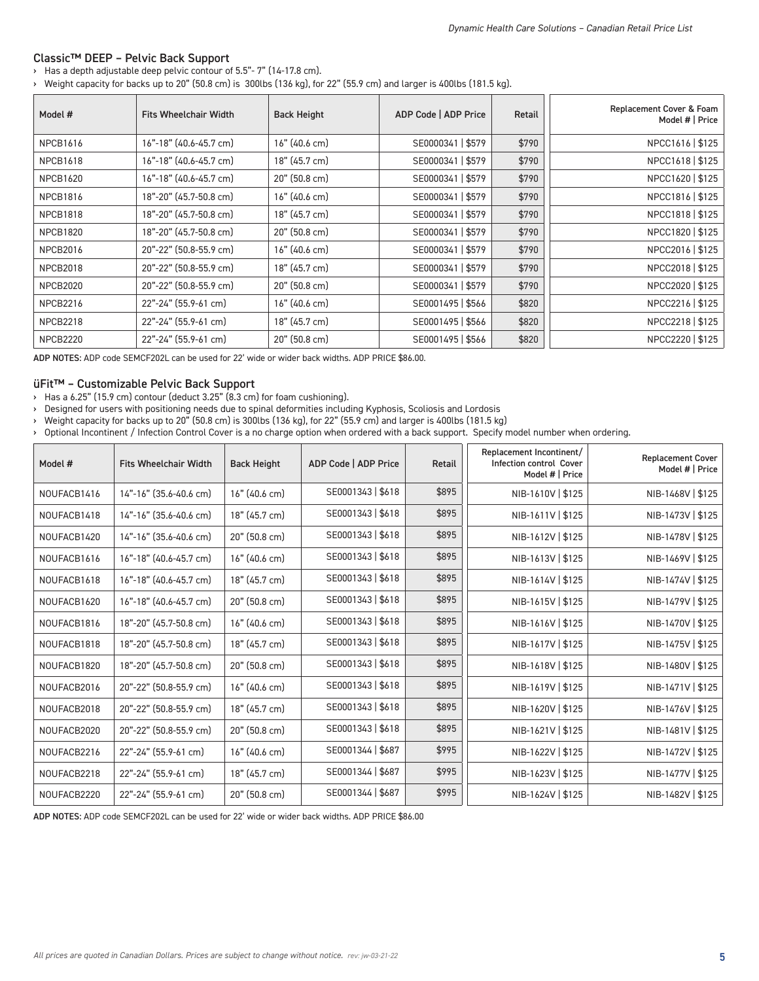#### Classic™ DEEP – Pelvic Back Support

#### › Has a depth adjustable deep pelvic contour of 5.5"- 7" (14-17.8 cm).

› Weight capacity for backs up to 20" (50.8 cm) is 300lbs (136 kg), for 22" (55.9 cm) and larger is 400lbs (181.5 kg).

| Model #         | <b>Fits Wheelchair Width</b> | <b>Back Height</b> | ADP Code   ADP Price | Retail | Replacement Cover & Foam<br>Model #   Price |
|-----------------|------------------------------|--------------------|----------------------|--------|---------------------------------------------|
| <b>NPCB1616</b> | $16"$ -18" (40.6-45.7 cm)    | 16" (40.6 cm)      | SE0000341   \$579    | \$790  | NPCC1616   \$125                            |
| <b>NPCB1618</b> | 16"-18" (40.6-45.7 cm)       | 18" (45.7 cm)      | SE0000341   \$579    | \$790  | NPCC1618   \$125                            |
| <b>NPCB1620</b> | 16"-18" (40.6-45.7 cm)       | 20" (50.8 cm)      | SE0000341   \$579    | \$790  | NPCC1620   \$125                            |
| <b>NPCB1816</b> | 18"-20" (45.7-50.8 cm)       | 16" (40.6 cm)      | SE0000341   \$579    | \$790  | NPCC1816   \$125                            |
| <b>NPCB1818</b> | 18"-20" (45.7-50.8 cm)       | 18" (45.7 cm)      | SE0000341   \$579    | \$790  | NPCC1818   \$125                            |
| <b>NPCB1820</b> | 18"-20" (45.7-50.8 cm)       | 20" (50.8 cm)      | SE0000341   \$579    | \$790  | NPCC1820   \$125                            |
| <b>NPCB2016</b> | 20"-22" (50.8-55.9 cm)       | 16" (40.6 cm)      | SE0000341   \$579    | \$790  | NPCC2016   \$125                            |
| <b>NPCB2018</b> | 20"-22" (50.8-55.9 cm)       | 18" (45.7 cm)      | SE0000341   \$579    | \$790  | NPCC2018   \$125                            |
| NPCB2020        | 20"-22" (50.8-55.9 cm)       | $20"$ (50.8 cm)    | SE0000341   \$579    | \$790  | NPCC2020   \$125                            |
| <b>NPCB2216</b> | 22"-24" (55.9-61 cm)         | 16" (40.6 cm)      | SE0001495   \$566    | \$820  | NPCC2216   \$125                            |
| <b>NPCB2218</b> | 22"-24" (55.9-61 cm)         | 18" (45.7 cm)      | SE0001495   \$566    | \$820  | NPCC2218   \$125                            |
| NPCB2220        | 22"-24" (55.9-61 cm)         | 20" (50.8 cm)      | SE0001495   \$566    | \$820  | NPCC2220   \$125                            |

ADP NOTES: ADP code SEMCF202L can be used for 22' wide or wider back widths. ADP PRICE \$86.00.

#### üFit™ – Customizable Pelvic Back Support

› Has a 6.25" (15.9 cm) contour (deduct 3.25" (8.3 cm) for foam cushioning).

› Designed for users with positioning needs due to spinal deformities including Kyphosis, Scoliosis and Lordosis

› Weight capacity for backs up to 20" (50.8 cm) is 300lbs (136 kg), for 22" (55.9 cm) and larger is 400lbs (181.5 kg)

› Optional Incontinent / Infection Control Cover is a no charge option when ordered with a back support. Specify model number when ordering.

| Model #     | <b>Fits Wheelchair Width</b> | <b>Back Height</b> | ADP Code   ADP Price | <b>Retail</b> | Replacement Incontinent/<br>Infection control Cover<br>Model #   Price | <b>Replacement Cover</b><br>Model #   Price |
|-------------|------------------------------|--------------------|----------------------|---------------|------------------------------------------------------------------------|---------------------------------------------|
| NOUFACB1416 | 14"-16" (35.6-40.6 cm)       | $16"$ (40.6 cm)    | SE0001343   \$618    | \$895         | NIB-1610V   \$125                                                      | NIB-1468V   \$125                           |
| NOUFACB1418 | 14"-16" (35.6-40.6 cm)       | 18" (45.7 cm)      | SE0001343   \$618    | \$895         | NIB-1611V   \$125                                                      | NIB-1473V   \$125                           |
| NOUFACB1420 | 14"-16" (35.6-40.6 cm)       | 20" (50.8 cm)      | SE0001343   \$618    | \$895         | NIB-1612V   \$125                                                      | NIB-1478V   \$125                           |
| NOUFACB1616 | 16"-18" (40.6-45.7 cm)       | 16" (40.6 cm)      | SE0001343   \$618    | \$895         | NIB-1613V   \$125                                                      | NIB-1469V   \$125                           |
| NOUFACB1618 | 16"-18" (40.6-45.7 cm)       | 18" (45.7 cm)      | SE0001343   \$618    | \$895         | NIB-1614V   \$125                                                      | NIB-1474V   \$125                           |
| NOUFACB1620 | 16"-18" (40.6-45.7 cm)       | 20" (50.8 cm)      | SE0001343   \$618    | \$895         | NIB-1615V   \$125                                                      | NIB-1479V   \$125                           |
| NOUFACB1816 | 18"-20" (45.7-50.8 cm)       | $16"$ (40.6 cm)    | SE0001343   \$618    | \$895         | NIB-1616V   \$125                                                      | NIB-1470V   \$125                           |
| NOUFACB1818 | 18"-20" (45.7-50.8 cm)       | 18" (45.7 cm)      | SE0001343   \$618    | \$895         | NIB-1617V   \$125                                                      | NIB-1475V   \$125                           |
| NOUFACB1820 | 18"-20" (45.7-50.8 cm)       | 20" (50.8 cm)      | SE0001343   \$618    | \$895         | NIB-1618V   \$125                                                      | NIB-1480V   \$125                           |
| NOUFACB2016 | 20"-22" (50.8-55.9 cm)       | 16" (40.6 cm)      | SE0001343   \$618    | \$895         | NIB-1619V   \$125                                                      | NIB-1471V   \$125                           |
| NOUFACB2018 | 20"-22" (50.8-55.9 cm)       | 18" (45.7 cm)      | SE0001343   \$618    | \$895         | NIB-1620V   \$125                                                      | NIB-1476V   \$125                           |
| NOUFACB2020 | 20"-22" (50.8-55.9 cm)       | 20" (50.8 cm)      | SE0001343   \$618    | \$895         | NIB-1621V   \$125                                                      | NIB-1481V   \$125                           |
| NOUFACB2216 | 22"-24" (55.9-61 cm)         | $16"$ (40.6 cm)    | SE0001344   \$687    | \$995         | NIB-1622V   \$125                                                      | NIB-1472V   \$125                           |
| NOUFACB2218 | 22"-24" (55.9-61 cm)         | 18" (45.7 cm)      | SE0001344   \$687    | \$995         | NIB-1623V   \$125                                                      | NIB-1477V   \$125                           |
| NOUFACB2220 | 22"-24" (55.9-61 cm)         | 20" (50.8 cm)      | SE0001344   \$687    | \$995         | NIB-1624V   \$125                                                      | NIB-1482V   \$125                           |

ADP NOTES: ADP code SEMCF202L can be used for 22' wide or wider back widths. ADP PRICE \$86.00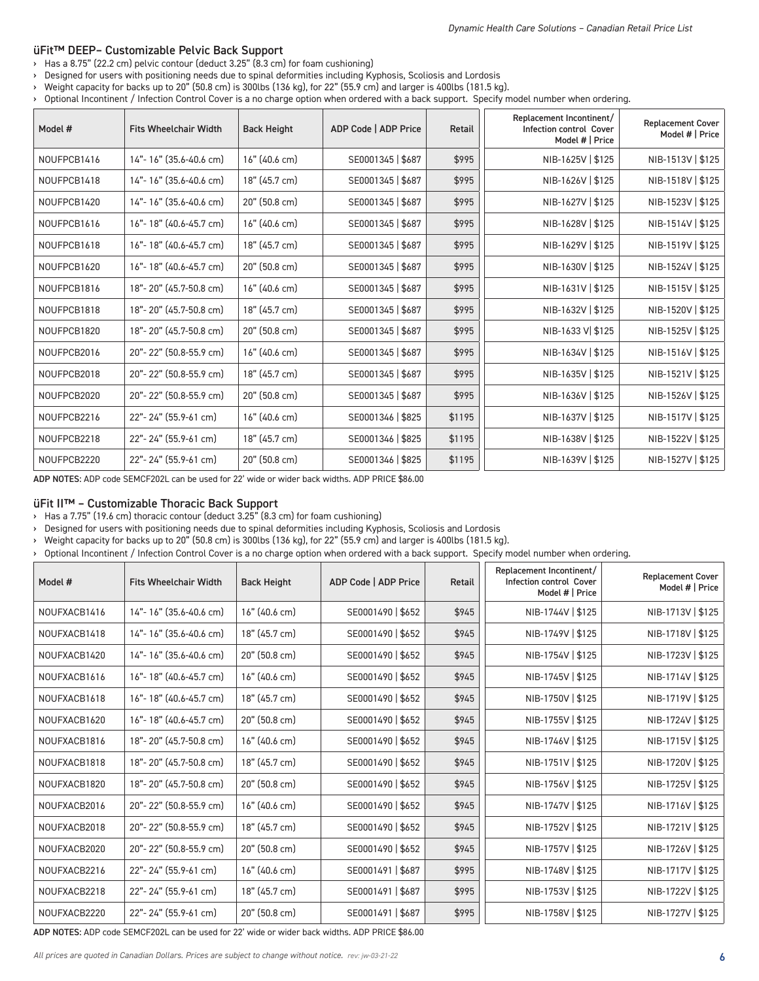#### üFit™ DEEP– Customizable Pelvic Back Support

- › Has a 8.75" (22.2 cm) pelvic contour (deduct 3.25" (8.3 cm) for foam cushioning)
- › Designed for users with positioning needs due to spinal deformities including Kyphosis, Scoliosis and Lordosis
- › Weight capacity for backs up to 20" (50.8 cm) is 300lbs (136 kg), for 22" (55.9 cm) and larger is 400lbs (181.5 kg).
- › Optional Incontinent / Infection Control Cover is a no charge option when ordered with a back support. Specify model number when ordering.

| Model #     | <b>Fits Wheelchair Width</b> | <b>Back Height</b> | ADP Code   ADP Price | <b>Retail</b> | Replacement Incontinent/<br><b>Infection control Cover</b><br>Model #   Price | <b>Replacement Cover</b><br>Model #   Price |
|-------------|------------------------------|--------------------|----------------------|---------------|-------------------------------------------------------------------------------|---------------------------------------------|
| NOUFPCB1416 | 14"-16" (35.6-40.6 cm)       | 16" (40.6 cm)      | SE0001345   \$687    | \$995         | NIB-1625V   \$125                                                             | NIB-1513V   \$125                           |
| NOUFPCB1418 | 14"-16" (35.6-40.6 cm)       | 18" (45.7 cm)      | SE0001345   \$687    | \$995         | NIB-1626V   \$125                                                             | NIB-1518V   \$125                           |
| NOUFPCB1420 | 14"-16" (35.6-40.6 cm)       | 20" (50.8 cm)      | SE0001345   \$687    | \$995         | NIB-1627V   \$125                                                             | NIB-1523V   \$125                           |
| NOUFPCB1616 | 16"-18" (40.6-45.7 cm)       | 16" (40.6 cm)      | SE0001345   \$687    | \$995         | NIB-1628V   \$125                                                             | NIB-1514V   \$125                           |
| NOUFPCB1618 | 16"-18" (40.6-45.7 cm)       | 18" (45.7 cm)      | SE0001345   \$687    | \$995         | NIB-1629V   \$125                                                             | NIB-1519V   \$125                           |
| NOUFPCB1620 | 16"-18" (40.6-45.7 cm)       | 20" (50.8 cm)      | SE0001345   \$687    | \$995         | NIB-1630V   \$125                                                             | NIB-1524V   \$125                           |
| NOUFPCB1816 | 18"-20" (45.7-50.8 cm)       | $16"$ (40.6 cm)    | SE0001345   \$687    | \$995         | NIB-1631V   \$125                                                             | NIB-1515V   \$125                           |
| NOUFPCB1818 | 18"-20" (45.7-50.8 cm)       | 18" (45.7 cm)      | SE0001345   \$687    | \$995         | NIB-1632V   \$125                                                             | NIB-1520V   \$125                           |
| NOUFPCB1820 | 18"-20" (45.7-50.8 cm)       | 20" (50.8 cm)      | SE0001345   \$687    | \$995         | NIB-1633 V \$125                                                              | NIB-1525V   \$125                           |
| NOUFPCB2016 | 20"-22" (50.8-55.9 cm)       | 16" (40.6 cm)      | SE0001345   \$687    | \$995         | NIB-1634V   \$125                                                             | NIB-1516V   \$125                           |
| NOUFPCB2018 | 20"-22" (50.8-55.9 cm)       | 18" (45.7 cm)      | SE0001345   \$687    | \$995         | NIB-1635V   \$125                                                             | NIB-1521V   \$125                           |
| NOUFPCB2020 | 20"-22" (50.8-55.9 cm)       | 20" (50.8 cm)      | SE0001345   \$687    | \$995         | NIB-1636V   \$125                                                             | NIB-1526V   \$125                           |
| NOUFPCB2216 | 22"-24" (55.9-61 cm)         | 16" (40.6 cm)      | SE0001346   \$825    | \$1195        | NIB-1637V   \$125                                                             | NIB-1517V   \$125                           |
| NOUFPCB2218 | 22"-24" (55.9-61 cm)         | 18" (45.7 cm)      | SE0001346   \$825    | \$1195        | NIB-1638V   \$125                                                             | NIB-1522V   \$125                           |
| NOUFPCB2220 | 22"-24" (55.9-61 cm)         | 20" (50.8 cm)      | SE0001346   \$825    | \$1195        | NIB-1639V   \$125                                                             | NIB-1527V   \$125                           |

ADP NOTES: ADP code SEMCF202L can be used for 22' wide or wider back widths. ADP PRICE \$86.00

#### üFit II™ – Customizable Thoracic Back Support

› Has a 7.75" (19.6 cm) thoracic contour (deduct 3.25" (8.3 cm) for foam cushioning)

› Designed for users with positioning needs due to spinal deformities including Kyphosis, Scoliosis and Lordosis

› Weight capacity for backs up to 20" (50.8 cm) is 300lbs (136 kg), for 22" (55.9 cm) and larger is 400lbs (181.5 kg).

› Optional Incontinent / Infection Control Cover is a no charge option when ordered with a back support. Specify model number when ordering.

| Model #      | <b>Fits Wheelchair Width</b> | <b>Back Height</b> | ADP Code   ADP Price | Retail | Replacement Incontinent/<br>Infection control Cover<br>Model #   Price | <b>Replacement Cover</b><br>Model #   Price |
|--------------|------------------------------|--------------------|----------------------|--------|------------------------------------------------------------------------|---------------------------------------------|
| NOUFXACB1416 | 14"-16" (35.6-40.6 cm)       | 16" (40.6 cm)      | SE0001490   \$652    | \$945  | NIB-1744V   \$125                                                      | NIB-1713V   \$125                           |
| NOUFXACB1418 | 14"-16" (35.6-40.6 cm)       | 18" (45.7 cm)      | SE0001490   \$652    | \$945  | NIB-1749V   \$125                                                      | NIB-1718V   \$125                           |
| NOUFXACB1420 | 14"-16" (35.6-40.6 cm)       | 20" (50.8 cm)      | SE0001490   \$652    | \$945  | NIB-1754V   \$125                                                      | NIB-1723V   \$125                           |
| NOUFXACB1616 | 16"-18" (40.6-45.7 cm)       | 16" (40.6 cm)      | SE0001490   \$652    | \$945  | NIB-1745V   \$125                                                      | NIB-1714V   \$125                           |
| NOUFXACB1618 | 16"-18" (40.6-45.7 cm)       | 18" (45.7 cm)      | SE0001490   \$652    | \$945  | NIB-1750V   \$125                                                      | NIB-1719V   \$125                           |
| NOUFXACB1620 | 16"-18" (40.6-45.7 cm)       | 20" (50.8 cm)      | SE0001490   \$652    | \$945  | NIB-1755V   \$125                                                      | NIB-1724V   \$125                           |
| NOUFXACB1816 | 18"-20" (45.7-50.8 cm)       | 16" (40.6 cm)      | SE0001490   \$652    | \$945  | NIB-1746V   \$125                                                      | NIB-1715V   \$125                           |
| NOUFXACB1818 | 18"-20" (45.7-50.8 cm)       | 18" (45.7 cm)      | SE0001490   \$652    | \$945  | NIB-1751V   \$125                                                      | NIB-1720V   \$125                           |
| NOUFXACB1820 | 18"-20" (45.7-50.8 cm)       | 20" (50.8 cm)      | SE0001490   \$652    | \$945  | NIB-1756V   \$125                                                      | NIB-1725V   \$125                           |
| NOUFXACB2016 | 20"-22" (50.8-55.9 cm)       | 16" (40.6 cm)      | SE0001490   \$652    | \$945  | NIB-1747V   \$125                                                      | NIB-1716V   \$125                           |
| NOUFXACB2018 | 20"-22" (50.8-55.9 cm)       | 18" (45.7 cm)      | SE0001490   \$652    | \$945  | NIB-1752V   \$125                                                      | NIB-1721V   \$125                           |
| NOUFXACB2020 | 20"-22" (50.8-55.9 cm)       | 20" (50.8 cm)      | SE0001490   \$652    | \$945  | NIB-1757V   \$125                                                      | NIB-1726V   \$125                           |
| NOUFXACB2216 | 22"-24" (55.9-61 cm)         | 16" (40.6 cm)      | SE0001491   \$687    | \$995  | NIB-1748V   \$125                                                      | NIB-1717V   \$125                           |
| NOUFXACB2218 | 22"-24" (55.9-61 cm)         | 18" (45.7 cm)      | SE0001491   \$687    | \$995  | NIB-1753V   \$125                                                      | NIB-1722V   \$125                           |
| NOUFXACB2220 | 22"-24" (55.9-61 cm)         | 20" (50.8 cm)      | SE0001491   \$687    | \$995  | NIB-1758V   \$125                                                      | NIB-1727V   \$125                           |

ADP NOTES: ADP code SEMCF202L can be used for 22' wide or wider back widths. ADP PRICE \$86.00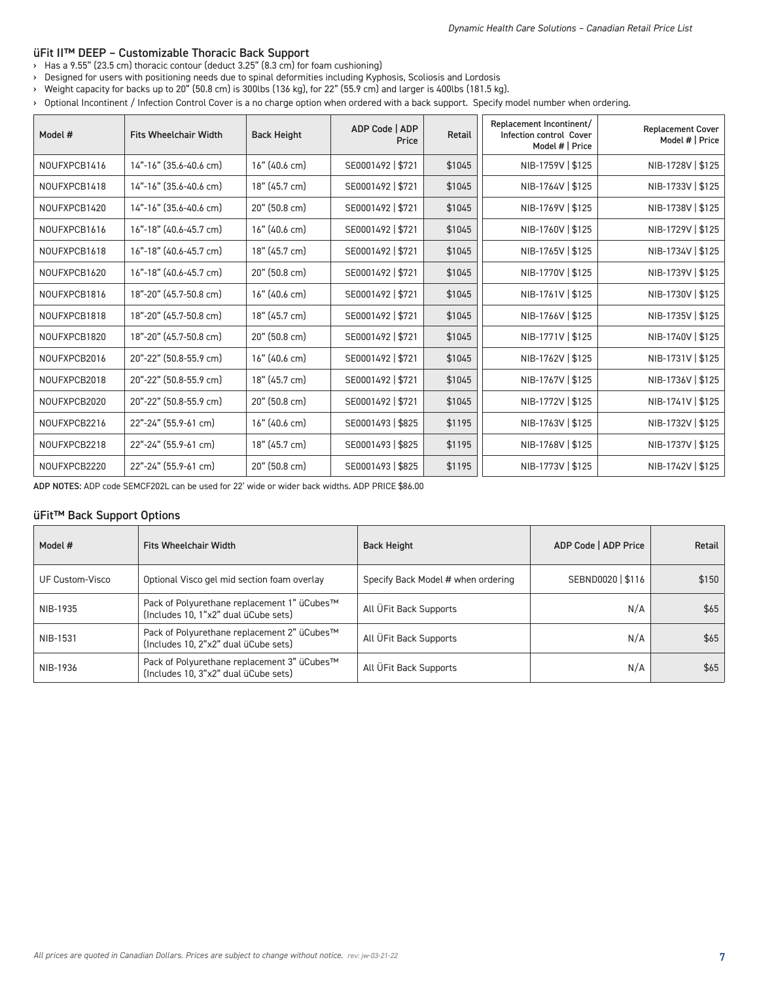#### üFit II™ DEEP – Customizable Thoracic Back Support

› Has a 9.55" (23.5 cm) thoracic contour (deduct 3.25" (8.3 cm) for foam cushioning)

› Designed for users with positioning needs due to spinal deformities including Kyphosis, Scoliosis and Lordosis

› Weight capacity for backs up to 20" (50.8 cm) is 300lbs (136 kg), for 22" (55.9 cm) and larger is 400lbs (181.5 kg).

› Optional Incontinent / Infection Control Cover is a no charge option when ordered with a back support. Specify model number when ordering.

| Model #      | <b>Fits Wheelchair Width</b> | <b>Back Height</b> | ADP Code   ADP<br>Price | <b>Retail</b> | Replacement Incontinent/<br>Infection control Cover<br>Model #   Price | <b>Replacement Cover</b><br>Model #   Price |
|--------------|------------------------------|--------------------|-------------------------|---------------|------------------------------------------------------------------------|---------------------------------------------|
| NOUFXPCB1416 | 14"-16" (35.6-40.6 cm)       | $16"$ (40.6 cm)    | SE0001492   \$721       | \$1045        | NIB-1759V   \$125                                                      | NIB-1728V   \$125                           |
| NOUFXPCB1418 | 14"-16" (35.6-40.6 cm)       | 18" (45.7 cm)      | SE0001492   \$721       | \$1045        | NIB-1764V   \$125                                                      | NIB-1733V   \$125                           |
| NOUFXPCB1420 | 14"-16" (35.6-40.6 cm)       | 20" (50.8 cm)      | SE0001492   \$721       | \$1045        | NIB-1769V   \$125                                                      | NIB-1738V   \$125                           |
| NOUFXPCB1616 | 16"-18" (40.6-45.7 cm)       | 16" (40.6 cm)      | SE0001492   \$721       | \$1045        | NIB-1760V   \$125                                                      | NIB-1729V   \$125                           |
| NOUFXPCB1618 | 16"-18" (40.6-45.7 cm)       | 18" (45.7 cm)      | SE0001492   \$721       | \$1045        | NIB-1765V   \$125                                                      | NIB-1734V   \$125                           |
| NOUFXPCB1620 | 16"-18" (40.6-45.7 cm)       | 20" (50.8 cm)      | SE0001492   \$721       | \$1045        | NIB-1770V   \$125                                                      | NIB-1739V   \$125                           |
| NOUFXPCB1816 | 18"-20" (45.7-50.8 cm)       | 16" (40.6 cm)      | SE0001492   \$721       | \$1045        | NIB-1761V   \$125                                                      | NIB-1730V   \$125                           |
| NOUFXPCB1818 | 18"-20" (45.7-50.8 cm)       | 18" (45.7 cm)      | SE0001492   \$721       | \$1045        | NIB-1766V   \$125                                                      | NIB-1735V   \$125                           |
| NOUFXPCB1820 | 18"-20" (45.7-50.8 cm)       | 20" (50.8 cm)      | SE0001492   \$721       | \$1045        | NIB-1771V   \$125                                                      | NIB-1740V   \$125                           |
| NOUFXPCB2016 | 20"-22" (50.8-55.9 cm)       | 16" (40.6 cm)      | SE0001492   \$721       | \$1045        | NIB-1762V   \$125                                                      | NIB-1731V   \$125                           |
| NOUFXPCB2018 | 20"-22" (50.8-55.9 cm)       | 18" (45.7 cm)      | SE0001492   \$721       | \$1045        | NIB-1767V   \$125                                                      | NIB-1736V   \$125                           |
| NOUFXPCB2020 | 20"-22" (50.8-55.9 cm)       | 20" (50.8 cm)      | SE0001492   \$721       | \$1045        | NIB-1772V   \$125                                                      | NIB-1741V   \$125                           |
| NOUFXPCB2216 | 22"-24" (55.9-61 cm)         | $16"$ (40.6 cm)    | SE0001493   \$825       | \$1195        | NIB-1763V   \$125                                                      | NIB-1732V   \$125                           |
| NOUFXPCB2218 | 22"-24" (55.9-61 cm)         | 18" (45.7 cm)      | SE0001493   \$825       | \$1195        | NIB-1768V   \$125                                                      | NIB-1737V   \$125                           |
| NOUFXPCB2220 | 22"-24" (55.9-61 cm)         | 20" (50.8 cm)      | SE0001493   \$825       | \$1195        | NIB-1773V   \$125                                                      | NIB-1742V   \$125                           |

ADP NOTES: ADP code SEMCF202L can be used for 22' wide or wider back widths. ADP PRICE \$86.00

## üFit™ Back Support Options

| Model #         | <b>Fits Wheelchair Width</b>                                                        | <b>Back Height</b>                 | ADP Code   ADP Price | Retail |
|-----------------|-------------------------------------------------------------------------------------|------------------------------------|----------------------|--------|
| UF Custom-Visco | Optional Visco gel mid section foam overlay                                         | Specify Back Model # when ordering | SEBND0020   \$116    | \$150  |
| NIB-1935        | Pack of Polyurethane replacement 1" üCubes™<br>(Includes 10, 1"x2" dual üCube sets) | All ÜFit Back Supports             | N/A                  | \$65   |
| NIB-1531        | Pack of Polyurethane replacement 2" üCubes™<br>(Includes 10, 2"x2" dual üCube sets) | All ÜFit Back Supports             | N/A                  | \$65   |
| NIB-1936        | Pack of Polyurethane replacement 3" üCubes™<br>(Includes 10, 3"x2" dual üCube sets) | All UFit Back Supports             | N/A                  | \$65   |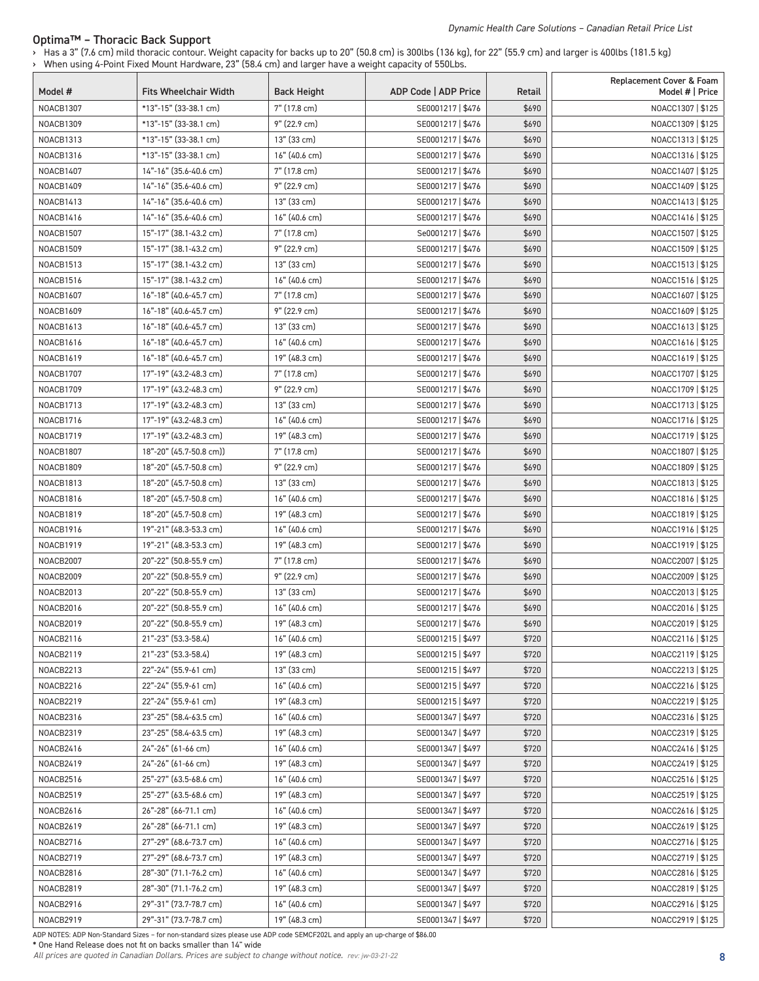#### Optima™ – Thoracic Back Support

› Has a 3" (7.6 cm) mild thoracic contour. Weight capacity for backs up to 20" (50.8 cm) is 300lbs (136 kg), for 22" (55.9 cm) and larger is 400lbs (181.5 kg) › When using 4-Point Fixed Mount Hardware, 23" (58.4 cm) and larger have a weight capacity of 550Lbs.

| Model #          | <b>Fits Wheelchair Width</b> | <b>Back Height</b> | ADP Code   ADP Price | Retail | Replacement Cover & Foam<br>Model #   Price |
|------------------|------------------------------|--------------------|----------------------|--------|---------------------------------------------|
| NOACB1307        | *13"-15" (33-38.1 cm)        | 7" (17.8 cm)       | SE0001217   \$476    | \$690  | NOACC1307   \$125                           |
| NOACB1309        | *13"-15" (33-38.1 cm)        | 9" (22.9 cm)       | SE0001217   \$476    | \$690  | NOACC1309   \$125                           |
| NOACB1313        | *13"-15" (33-38.1 cm)        | 13" (33 cm)        | SE0001217   \$476    | \$690  | NOACC1313   \$125                           |
| NOACB1316        | *13"-15" (33-38.1 cm)        | 16" (40.6 cm)      | SE0001217   \$476    | \$690  | NOACC1316   \$125                           |
| NOACB1407        | 14"-16" (35.6-40.6 cm)       | 7" (17.8 cm)       | SE0001217   \$476    | \$690  | NOACC1407   \$125                           |
| NOACB1409        | 14"-16" (35.6-40.6 cm)       | 9" (22.9 cm)       | SE0001217   \$476    | \$690  | NOACC1409   \$125                           |
| NOACB1413        | 14"-16" (35.6-40.6 cm)       | 13" (33 cm)        | SE0001217   \$476    | \$690  | NOACC1413   \$125                           |
| NOACB1416        | 14"-16" (35.6-40.6 cm)       | 16" (40.6 cm)      | SE0001217   \$476    | \$690  | NOACC1416   \$125                           |
| NOACB1507        | 15"-17" (38.1-43.2 cm)       | 7" (17.8 cm)       | Se0001217   \$476    | \$690  | NOACC1507   \$125                           |
| NOACB1509        | 15"-17" (38.1-43.2 cm)       | 9" (22.9 cm)       | SE0001217   \$476    | \$690  | NOACC1509   \$125                           |
| NOACB1513        | 15"-17" (38.1-43.2 cm)       | 13" (33 cm)        | SE0001217   \$476    | \$690  | NOACC1513   \$125                           |
| NOACB1516        | 15"-17" (38.1-43.2 cm)       | 16" (40.6 cm)      | SE0001217   \$476    | \$690  | NOACC1516   \$125                           |
| <b>NOACB1607</b> | 16"-18" (40.6-45.7 cm)       | 7" (17.8 cm)       | SE0001217   \$476    | \$690  | NOACC1607   \$125                           |
| <b>NOACB1609</b> | 16"-18" (40.6-45.7 cm)       | 9" (22.9 cm)       | SE0001217   \$476    | \$690  | NOACC1609   \$125                           |
| <b>NOACB1613</b> | 16"-18" (40.6-45.7 cm)       | 13" (33 cm)        | SE0001217   \$476    | \$690  | NOACC1613   \$125                           |
| <b>NOACB1616</b> | 16"-18" (40.6-45.7 cm)       | 16" (40.6 cm)      | SE0001217   \$476    | \$690  | NOACC1616   \$125                           |
| <b>NOACB1619</b> | 16"-18" (40.6-45.7 cm)       | 19" (48.3 cm)      | SE0001217   \$476    | \$690  | NOACC1619   \$125                           |
| NOACB1707        | 17"-19" (43.2-48.3 cm)       | 7" (17.8 cm)       | SE0001217   \$476    | \$690  | NOACC1707   \$125                           |
| NOACB1709        | 17"-19" (43.2-48.3 cm)       | 9" (22.9 cm)       | SE0001217   \$476    | \$690  | NOACC1709   \$125                           |
| NOACB1713        | 17"-19" (43.2-48.3 cm)       | 13" (33 cm)        | SE0001217   \$476    | \$690  | NOACC1713   \$125                           |
| NOACB1716        | 17"-19" (43.2-48.3 cm)       | 16" (40.6 cm)      | SE0001217   \$476    | \$690  | NOACC1716   \$125                           |
| NOACB1719        | 17"-19" (43.2-48.3 cm)       | 19" (48.3 cm)      | SE0001217   \$476    | \$690  | NOACC1719   \$125                           |
| NOACB1807        | 18"-20" (45.7-50.8 cm))      | 7" (17.8 cm)       | SE0001217   \$476    | \$690  | NOACC1807   \$125                           |
| NOACB1809        | 18"-20" (45.7-50.8 cm)       | 9" (22.9 cm)       | SE0001217   \$476    | \$690  | NOACC1809   \$125                           |
| NOACB1813        | 18"-20" (45.7-50.8 cm)       | 13" (33 cm)        | SE0001217   \$476    | \$690  | NOACC1813   \$125                           |
| <b>NOACB1816</b> | 18"-20" (45.7-50.8 cm)       | 16" (40.6 cm)      | SE0001217   \$476    | \$690  | NOACC1816   \$125                           |
| NOACB1819        | 18"-20" (45.7-50.8 cm)       | 19" (48.3 cm)      | SE0001217   \$476    | \$690  | NOACC1819   \$125                           |
| <b>NOACB1916</b> | 19"-21" (48.3-53.3 cm)       | $16"$ (40.6 cm)    | SE0001217   \$476    | \$690  | NOACC1916   \$125                           |
| NOACB1919        | 19"-21" (48.3-53.3 cm)       | 19" (48.3 cm)      | SE0001217   \$476    | \$690  | NOACC1919   \$125                           |
| NOACB2007        | 20"-22" (50.8-55.9 cm)       | 7" (17.8 cm)       | SE0001217   \$476    | \$690  | NOACC2007   \$125                           |
| NOACB2009        | 20"-22" (50.8-55.9 cm)       | 9" (22.9 cm)       | SE0001217   \$476    | \$690  | NOACC2009   \$125                           |
| NOACB2013        | 20"-22" (50.8-55.9 cm)       | 13" (33 cm)        | SE0001217   \$476    | \$690  | NOACC2013   \$125                           |
| NOACB2016        | 20"-22" (50.8-55.9 cm)       | 16" (40.6 cm)      | SE0001217   \$476    | \$690  | NOACC2016   \$125                           |
| NOACB2019        | 20"-22" (50.8-55.9 cm)       | 19" (48.3 cm)      | SE0001217   \$476    | \$690  | NOACC2019   \$125                           |
| <b>NOACB2116</b> | 21"-23" (53.3-58.4)          | 16" (40.6 cm)      | SE0001215   \$497    | \$720  | NOACC2116   \$125                           |
| NOACB2119        | 21"-23" (53.3-58.4)          | 19" (48.3 cm)      | SE0001215   \$497    | \$720  | NOACC2119   \$125                           |
| NOACB2213        | 22"-24" (55.9-61 cm)         | 13" (33 cm)        | SE0001215   \$497    | \$720  | NOACC2213   \$125                           |
| NOACB2216        | 22"-24" (55.9-61 cm)         | 16" (40.6 cm)      | SE0001215   \$497    | \$720  | NOACC2216   \$125                           |
| NOACB2219        | 22"-24" (55.9-61 cm)         | 19" (48.3 cm)      | SE0001215   \$497    | \$720  | NOACC2219   \$125                           |
| NOACB2316        | 23"-25" (58.4-63.5 cm)       | $16"$ (40.6 cm)    | SE0001347   \$497    | \$720  | NOACC2316   \$125                           |
| NOACB2319        | 23"-25" (58.4-63.5 cm)       | 19" (48.3 cm)      | SE0001347   \$497    | \$720  | NOACC2319   \$125                           |
| NOACB2416        | 24"-26" (61-66 cm)           | $16"$ (40.6 cm)    | SE0001347   \$497    | \$720  | NOACC2416   \$125                           |
| NOACB2419        | 24"-26" (61-66 cm)           | 19" (48.3 cm)      | SE0001347   \$497    | \$720  | NOACC2419   \$125                           |
| NOACB2516        | 25"-27" (63.5-68.6 cm)       | $16"$ (40.6 cm)    | SE0001347   \$497    | \$720  | NOACC2516   \$125                           |
| NOACB2519        | 25"-27" (63.5-68.6 cm)       | 19" (48.3 cm)      | SE0001347   \$497    | \$720  | NOACC2519   \$125                           |
| <b>NOACB2616</b> | 26"-28" (66-71.1 cm)         | $16"$ (40.6 cm)    | SE0001347   \$497    | \$720  | NOACC2616   \$125                           |
| NOACB2619        | 26"-28" (66-71.1 cm)         | 19" (48.3 cm)      | SE0001347   \$497    | \$720  | NOACC2619   \$125                           |
| NOACB2716        | 27"-29" (68.6-73.7 cm)       | $16"$ (40.6 cm)    | SE0001347   \$497    | \$720  | NOACC2716   \$125                           |
| NOACB2719        | 27"-29" (68.6-73.7 cm)       | 19" (48.3 cm)      | SE0001347   \$497    | \$720  | NOACC2719   \$125                           |
| <b>NOACB2816</b> | 28"-30" (71.1-76.2 cm)       | $16"$ (40.6 cm)    | SE0001347   \$497    | \$720  | NOACC2816   \$125                           |
| NOACB2819        | 28"-30" (71.1-76.2 cm)       | 19" (48.3 cm)      | SE0001347   \$497    | \$720  | NOACC2819   \$125                           |
| NOACB2916        | 29"-31" (73.7-78.7 cm)       | $16"$ (40.6 cm)    | SE0001347   \$497    | \$720  | NOACC2916   \$125                           |
| NOACB2919        | 29"-31" (73.7-78.7 cm)       | 19" (48.3 cm)      | SE0001347   \$497    | \$720  | NOACC2919   \$125                           |

ADP NOTES: ADP Non-Standard Sizes – for non-standard sizes please use ADP code SEMCF202L and apply an up-charge of \$86.00

\* One Hand Release does not fit on backs smaller than 14" wide

*All prices are quoted in Canadian Dollars. Prices are subject to change without notice. rev: jw-03-21-22* 8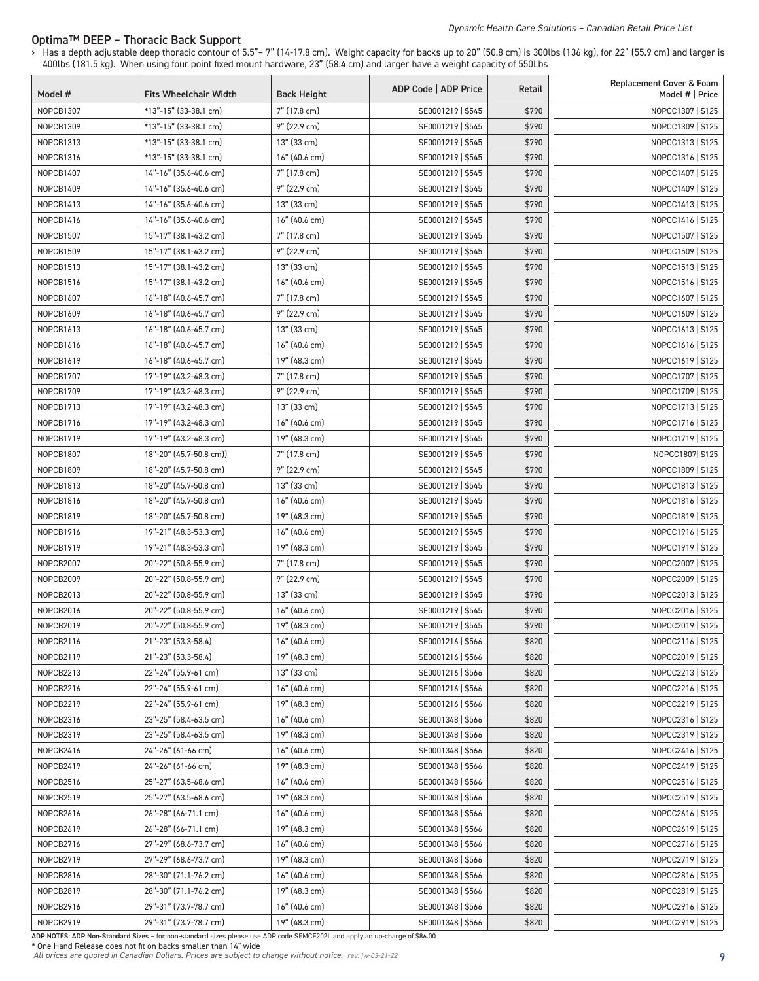#### *Dynamic Health Care Solutions – Canadian Retail Price List*

#### Optima™ DEEP – Thoracic Back Support

› Has a depth adjustable deep thoracic contour of 5.5"– 7" (14-17.8 cm). Weight capacity for backs up to 20" (50.8 cm) is 300lbs (136 kg), for 22" (55.9 cm) and larger is 400lbs (181.5 kg). When using four point fixed mount hardware, 23" (58.4 cm) and larger have a weight capacity of 550Lbs

| Model #          | <b>Fits Wheelchair Width</b> | <b>Back Height</b> | ADP Code   ADP Price | Retail | Replacement Cover & Foam<br>Model #   Price |
|------------------|------------------------------|--------------------|----------------------|--------|---------------------------------------------|
| NOPCB1307        | *13"-15" (33-38.1 cm)        | 7" (17.8 cm)       | SE0001219   \$545    | \$790  | NOPCC1307   \$125                           |
| NOPCB1309        | *13"-15" (33-38.1 cm)        | 9" (22.9 cm)       | SE0001219   \$545    | \$790  | NOPCC1309   \$125                           |
| NOPCB1313        | *13"-15" (33-38.1 cm)        | 13" (33 cm)        | SE0001219   \$545    | \$790  | NOPCC1313   \$125                           |
| NOPCB1316        | *13"-15" (33-38.1 cm)        | 16" (40.6 cm)      | SE0001219   \$545    | \$790  | NOPCC1316   \$125                           |
| NOPCB1407        | 14"-16" (35.6-40.6 cm)       | 7" (17.8 cm)       | SE0001219   \$545    | \$790  | NOPCC1407   \$125                           |
| NOPCB1409        | 14"-16" (35.6-40.6 cm)       | 9" (22.9 cm)       | SE0001219   \$545    | \$790  | NOPCC1409   \$125                           |
| NOPCB1413        | 14"-16" (35.6-40.6 cm)       | 13" (33 cm)        | SE0001219   \$545    | \$790  | NOPCC1413   \$125                           |
| NOPCB1416        | 14"-16" (35.6-40.6 cm)       | 16" (40.6 cm)      | SE0001219   \$545    | \$790  | NOPCC1416   \$125                           |
| NOPCB1507        | 15"-17" (38.1-43.2 cm)       | 7" (17.8 cm)       | SE0001219   \$545    | \$790  | NOPCC1507   \$125                           |
| NOPCB1509        | 15"-17" (38.1-43.2 cm)       | 9" (22.9 cm)       | SE0001219   \$545    | \$790  | NOPCC1509   \$125                           |
| NOPCB1513        | 15"-17" (38.1-43.2 cm)       | 13" (33 cm)        | SE0001219   \$545    | \$790  | NOPCC1513   \$125                           |
| NOPCB1516        | 15"-17" (38.1-43.2 cm)       | 16" (40.6 cm)      | SE0001219   \$545    | \$790  | NOPCC1516   \$125                           |
| <b>NOPCB1607</b> | 16"-18" (40.6-45.7 cm)       | 7" (17.8 cm)       | SE0001219   \$545    | \$790  | NOPCC1607   \$125                           |
| NOPCB1609        | 16"-18" (40.6-45.7 cm)       | 9" (22.9 cm)       | SE0001219   \$545    | \$790  | NOPCC1609   \$125                           |
| NOPCB1613        | 16"-18" (40.6-45.7 cm)       | 13" (33 cm)        | SE0001219   \$545    | \$790  | NOPCC1613   \$125                           |
| NOPCB1616        | 16"-18" (40.6-45.7 cm)       | 16" (40.6 cm)      | SE0001219   \$545    | \$790  | NOPCC1616   \$125                           |
| NOPCB1619        | 16"-18" (40.6-45.7 cm)       | 19" (48.3 cm)      | SE0001219   \$545    | \$790  | NOPCC1619   \$125                           |
| NOPCB1707        | 17"-19" (43.2-48.3 cm)       | 7" (17.8 cm)       | SE0001219   \$545    | \$790  | NOPCC1707   \$125                           |
| NOPCB1709        | 17"-19" (43.2-48.3 cm)       | 9" (22.9 cm)       | SE0001219   \$545    | \$790  | NOPCC1709   \$125                           |
| NOPCB1713        | 17"-19" (43.2-48.3 cm)       | 13" (33 cm)        | SE0001219   \$545    | \$790  | NOPCC1713   \$125                           |
| NOPCB1716        | 17"-19" (43.2-48.3 cm)       | 16" (40.6 cm)      | SE0001219   \$545    | \$790  | NOPCC1716   \$125                           |
| NOPCB1719        | 17"-19" (43.2-48.3 cm)       | 19" (48.3 cm)      | SE0001219   \$545    | \$790  | NOPCC1719   \$125                           |
|                  |                              |                    |                      |        |                                             |
| NOPCB1807        | 18"-20" (45.7-50.8 cm))      | 7" (17.8 cm)       | SE0001219   \$545    | \$790  | NOPCC1807 \$125                             |
| NOPCB1809        | 18"-20" (45.7-50.8 cm)       | 9" (22.9 cm)       | SE0001219   \$545    | \$790  | NOPCC1809   \$125                           |
| NOPCB1813        | 18"-20" (45.7-50.8 cm)       | 13" (33 cm)        | SE0001219   \$545    | \$790  | NOPCC1813   \$125                           |
| <b>NOPCB1816</b> | 18"-20" (45.7-50.8 cm)       | 16" (40.6 cm)      | SE0001219   \$545    | \$790  | NOPCC1816   \$125                           |
| NOPCB1819        | 18"-20" (45.7-50.8 cm)       | 19" (48.3 cm)      | SE0001219   \$545    | \$790  | NOPCC1819   \$125                           |
| NOPCB1916        | 19"-21" (48.3-53.3 cm)       | 16" (40.6 cm)      | SE0001219   \$545    | \$790  | NOPCC1916   \$125                           |
| NOPCB1919        | 19"-21" (48.3-53.3 cm)       | 19" (48.3 cm)      | SE0001219   \$545    | \$790  | NOPCC1919   \$125                           |
| NOPCB2007        | 20"-22" (50.8-55.9 cm)       | 7" (17.8 cm)       | SE0001219   \$545    | \$790  | NOPCC2007   \$125                           |
| NOPCB2009        | 20"-22" (50.8-55.9 cm)       | $9''$ (22.9 cm)    | SE0001219   \$545    | \$790  | NOPCC2009   \$125                           |
| NOPCB2013        | 20"-22" (50.8-55.9 cm)       | 13" (33 cm)        | SE0001219   \$545    | \$790  | NOPCC2013   \$125                           |
| NOPCB2016        | 20"-22" (50.8-55.9 cm)       | 16" (40.6 cm)      | SE0001219   \$545    | \$790  | NOPCC2016   \$125                           |
| NOPCB2019        | 20"-22" (50.8-55.9 cm)       | 19" (48.3 cm)      | SE0001219   \$545    | \$790  | NOPCC2019   \$125                           |
| NOPCB2116        | 21"-23" (53.3-58.4)          | 16" (40.6 cm)      | SE0001216   \$566    | \$820  | NOPCC2116   \$125                           |
| NOPCB2119        | 21"-23" (53.3-58.4)          | 19" (48.3 cm)      | SE0001216   \$566    | \$820  | NOPCC2019   \$125                           |
| NOPCB2213        | 22"-24" (55.9-61 cm)         | 13" (33 cm)        | SE0001216   \$566    | \$820  | NOPCC2213   \$125                           |
| NOPCB2216        | 22"-24" (55.9-61 cm)         | 16" (40.6 cm)      | SE0001216   \$566    | \$820  | NOPCC2216   \$125                           |
| NOPCB2219        | 22"-24" (55.9-61 cm)         | 19" (48.3 cm)      | SE0001216   \$566    | \$820  | NOPCC2219   \$125                           |
| NOPCB2316        | 23"-25" (58.4-63.5 cm)       | 16" (40.6 cm)      | SE0001348   \$566    | \$820  | NOPCC2316   \$125                           |
| NOPCB2319        | 23"-25" (58.4-63.5 cm)       | 19" (48.3 cm)      | SE0001348   \$566    | \$820  | NOPCC2319   \$125                           |
| NOPCB2416        | 24"-26" (61-66 cm)           | 16" (40.6 cm)      | SE0001348   \$566    | \$820  | NOPCC2416   \$125                           |
| NOPCB2419        | 24"-26" (61-66 cm)           | 19" (48.3 cm)      | SE0001348   \$566    | \$820  | NOPCC2419   \$125                           |
| NOPCB2516        | 25"-27" (63.5-68.6 cm)       | 16" (40.6 cm)      | SE0001348   \$566    | \$820  | NOPCC2516   \$125                           |
| NOPCB2519        | 25"-27" (63.5-68.6 cm)       | 19" (48.3 cm)      | SE0001348   \$566    | \$820  | NOPCC2519   \$125                           |
| NOPCB2616        | 26"-28" (66-71.1 cm)         | 16" (40.6 cm)      | SE0001348   \$566    | \$820  | NOPCC2616   \$125                           |
| NOPCB2619        | 26"-28" (66-71.1 cm)         | 19" (48.3 cm)      | SE0001348   \$566    | \$820  | NOPCC2619   \$125                           |
| NOPCB2716        | 27"-29" (68.6-73.7 cm)       | 16" (40.6 cm)      | SE0001348   \$566    | \$820  | NOPCC2716   \$125                           |
| NOPCB2719        | 27"-29" (68.6-73.7 cm)       | 19" (48.3 cm)      | SE0001348   \$566    | \$820  | NOPCC2719   \$125                           |
| NOPCB2816        | 28"-30" (71.1-76.2 cm)       | 16" (40.6 cm)      | SE0001348   \$566    | \$820  | NOPCC2816   \$125                           |
| NOPCB2819        | 28"-30" (71.1-76.2 cm)       | 19" (48.3 cm)      | SE0001348   \$566    | \$820  | NOPCC2819   \$125                           |
| NOPCB2916        | 29"-31" (73.7-78.7 cm)       | 16" (40.6 cm)      | SE0001348   \$566    | \$820  | NOPCC2916   \$125                           |
| NOPCB2919        | 29"-31" (73.7-78.7 cm)       | 19" (48.3 cm)      | SE0001348   \$566    | \$820  | NOPCC2919   \$125                           |

ADP NOTES: ADP Non-Standard Sizes – for non-standard sizes please use ADP code SEMCF202L and apply an up-charge of \$86.00 \* One Hand Release does not fit on backs smaller than 14" wide

*All prices are quoted in Canadian Dollars. Prices are subject to change without notice. rev: jw-03-21-22* 9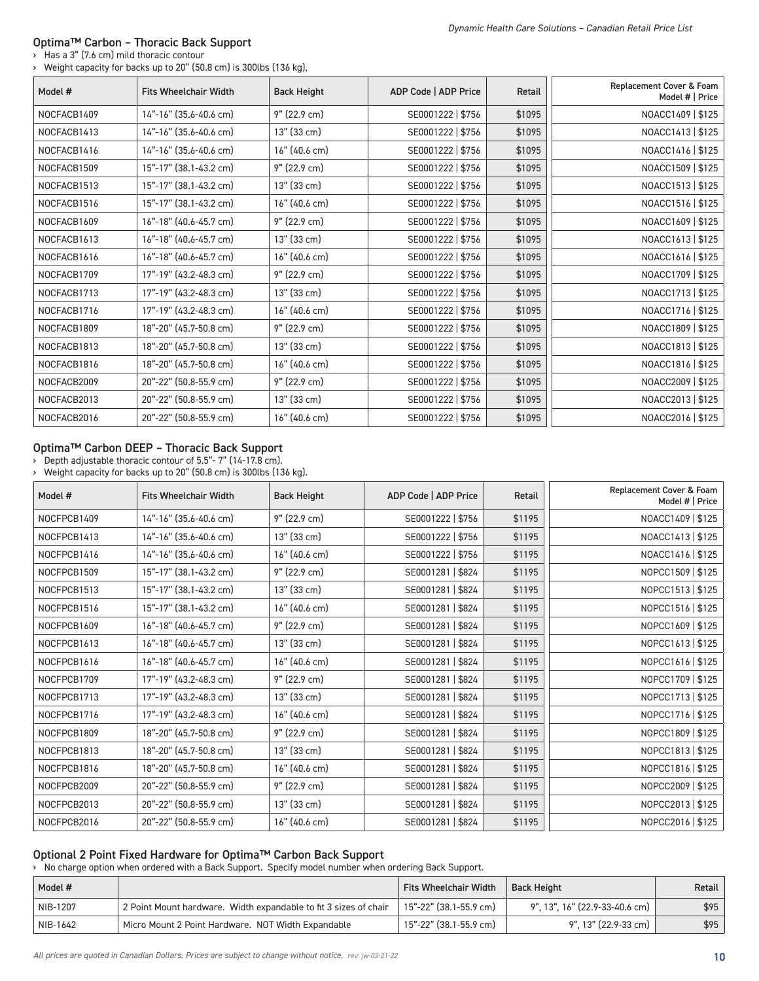## Optima™ Carbon – Thoracic Back Support

› Has a 3" (7.6 cm) mild thoracic contour › Weight capacity for backs up to 20" (50.8 cm) is 300lbs (136 kg),

| Model #     | <b>Fits Wheelchair Width</b> | <b>Back Height</b> | ADP Code   ADP Price | <b>Retail</b> | Replacement Cover & Foam<br>Model #   Price |
|-------------|------------------------------|--------------------|----------------------|---------------|---------------------------------------------|
| NOCFACB1409 | 14"-16" (35.6-40.6 cm)       | 9" (22.9 cm)       | SE0001222   \$756    | \$1095        | NOACC1409   \$125                           |
| NOCFACB1413 | 14"-16" (35.6-40.6 cm)       | 13" (33 cm)        | SE0001222   \$756    | \$1095        | NOACC1413   \$125                           |
| NOCFACB1416 | 14"-16" (35.6-40.6 cm)       | 16" (40.6 cm)      | SE0001222   \$756    | \$1095        | NOACC1416   \$125                           |
| NOCFACB1509 | 15"-17" (38.1-43.2 cm)       | 9" (22.9 cm)       | SE0001222   \$756    | \$1095        | NOACC1509   \$125                           |
| NOCFACB1513 | 15"-17" (38.1-43.2 cm)       | 13" (33 cm)        | SE0001222   \$756    | \$1095        | NOACC1513   \$125                           |
| NOCFACB1516 | 15"-17" (38.1-43.2 cm)       | 16" (40.6 cm)      | SE0001222   \$756    | \$1095        | NOACC1516   \$125                           |
| NOCFACB1609 | 16"-18" (40.6-45.7 cm)       | $9''$ (22.9 cm)    | SE0001222   \$756    | \$1095        | NOACC1609   \$125                           |
| NOCFACB1613 | 16"-18" (40.6-45.7 cm)       | 13" (33 cm)        | SE0001222   \$756    | \$1095        | NOACC1613   \$125                           |
| NOCFACB1616 | 16"-18" (40.6-45.7 cm)       | 16" (40.6 cm)      | SE0001222   \$756    | \$1095        | NOACC1616   \$125                           |
| NOCFACB1709 | 17"-19" (43.2-48.3 cm)       | 9" (22.9 cm)       | SE0001222   \$756    | \$1095        | NOACC1709   \$125                           |
| NOCFACB1713 | 17"-19" (43.2-48.3 cm)       | 13" (33 cm)        | SE0001222   \$756    | \$1095        | NOACC1713   \$125                           |
| NOCFACB1716 | 17"-19" (43.2-48.3 cm)       | 16" (40.6 cm)      | SE0001222   \$756    | \$1095        | NOACC1716   \$125                           |
| NOCFACB1809 | 18"-20" (45.7-50.8 cm)       | 9" (22.9 cm)       | SE0001222   \$756    | \$1095        | NOACC1809   \$125                           |
| NOCFACB1813 | 18"-20" (45.7-50.8 cm)       | 13" (33 cm)        | SE0001222   \$756    | \$1095        | NOACC1813   \$125                           |
| NOCFACB1816 | 18"-20" (45.7-50.8 cm)       | 16" (40.6 cm)      | SE0001222   \$756    | \$1095        | NOACC1816   \$125                           |
| NOCFACB2009 | 20"-22" (50.8-55.9 cm)       | 9" (22.9 cm)       | SE0001222   \$756    | \$1095        | NOACC2009   \$125                           |
| NOCFACB2013 | 20"-22" (50.8-55.9 cm)       | 13" (33 cm)        | SE0001222   \$756    | \$1095        | NOACC2013   \$125                           |
| NOCFACB2016 | 20"-22" (50.8-55.9 cm)       | 16" (40.6 cm)      | SE0001222   \$756    | \$1095        | NOACC2016   \$125                           |

#### Optima™ Carbon DEEP – Thoracic Back Support

› Depth adjustable thoracic contour of 5.5"- 7" (14-17.8 cm).

› Weight capacity for backs up to 20" (50.8 cm) is 300lbs (136 kg).

| Model #     | <b>Fits Wheelchair Width</b> | <b>Back Height</b> | ADP Code   ADP Price | Retail | Replacement Cover & Foam<br>Model #   Price |
|-------------|------------------------------|--------------------|----------------------|--------|---------------------------------------------|
| NOCFPCB1409 | 14"-16" (35.6-40.6 cm)       | 9" (22.9 cm)       | SE0001222   \$756    | \$1195 | NOACC1409   \$125                           |
| NOCFPCB1413 | 14"-16" (35.6-40.6 cm)       | 13" (33 cm)        | SE0001222   \$756    | \$1195 | NOACC1413   \$125                           |
| NOCFPCB1416 | 14"-16" (35.6-40.6 cm)       | 16" (40.6 cm)      | SE0001222   \$756    | \$1195 | NOACC1416   \$125                           |
| NOCFPCB1509 | 15"-17" (38.1-43.2 cm)       | 9" (22.9 cm)       | SE0001281   \$824    | \$1195 | NOPCC1509   \$125                           |
| NOCFPCB1513 | 15"-17" (38.1-43.2 cm)       | 13" (33 cm)        | SE0001281   \$824    | \$1195 | NOPCC1513   \$125                           |
| NOCFPCB1516 | 15"-17" (38.1-43.2 cm)       | 16" (40.6 cm)      | SE0001281   \$824    | \$1195 | NOPCC1516   \$125                           |
| NOCFPCB1609 | 16"-18" (40.6-45.7 cm)       | $9''$ (22.9 cm)    | SE0001281   \$824    | \$1195 | NOPCC1609   \$125                           |
| NOCFPCB1613 | 16"-18" (40.6-45.7 cm)       | 13" (33 cm)        | SE0001281   \$824    | \$1195 | NOPCC1613   \$125                           |
| NOCFPCB1616 | 16"-18" (40.6-45.7 cm)       | 16" (40.6 cm)      | SE0001281   \$824    | \$1195 | NOPCC1616   \$125                           |
| NOCFPCB1709 | 17"-19" (43.2-48.3 cm)       | $9''$ (22.9 cm)    | SE0001281   \$824    | \$1195 | NOPCC1709   \$125                           |
| NOCFPCB1713 | 17"-19" (43.2-48.3 cm)       | 13" (33 cm)        | SE0001281   \$824    | \$1195 | NOPCC1713   \$125                           |
| NOCFPCB1716 | 17"-19" (43.2-48.3 cm)       | 16" (40.6 cm)      | SE0001281   \$824    | \$1195 | NOPCC1716   \$125                           |
| NOCFPCB1809 | 18"-20" (45.7-50.8 cm)       | 9" (22.9 cm)       | SE0001281   \$824    | \$1195 | NOPCC1809   \$125                           |
| NOCFPCB1813 | 18"-20" (45.7-50.8 cm)       | 13" (33 cm)        | SE0001281   \$824    | \$1195 | NOPCC1813   \$125                           |
| NOCFPCB1816 | 18"-20" (45.7-50.8 cm)       | 16" (40.6 cm)      | SE0001281   \$824    | \$1195 | NOPCC1816   \$125                           |
| NOCFPCB2009 | 20"-22" (50.8-55.9 cm)       | 9" (22.9 cm)       | SE0001281   \$824    | \$1195 | NOPCC2009   \$125                           |
| NOCFPCB2013 | 20"-22" (50.8-55.9 cm)       | 13" (33 cm)        | SE0001281   \$824    | \$1195 | NOPCC2013   \$125                           |
| NOCFPCB2016 | 20"-22" (50.8-55.9 cm)       | 16" (40.6 cm)      | SE0001281   \$824    | \$1195 | NOPCC2016   \$125                           |

## Optional 2 Point Fixed Hardware for Optima™ Carbon Back Support

› No charge option when ordered with a Back Support. Specify model number when ordering Back Support.

| Model #  |                                                                  | <b>Fits Wheelchair Width</b> | Back Height                    | <b>Retail</b> |
|----------|------------------------------------------------------------------|------------------------------|--------------------------------|---------------|
| NIB-1207 | 2 Point Mount hardware. Width expandable to fit 3 sizes of chair | 15"-22" (38.1-55.9 cm)       | 9", 13", 16" (22.9-33-40.6 cm) | \$95          |
| NIB-1642 | Micro Mount 2 Point Hardware. NOT Width Expandable               | 15"-22" (38.1-55.9 cm)       | 9", 13" (22.9-33 cm)           | \$95          |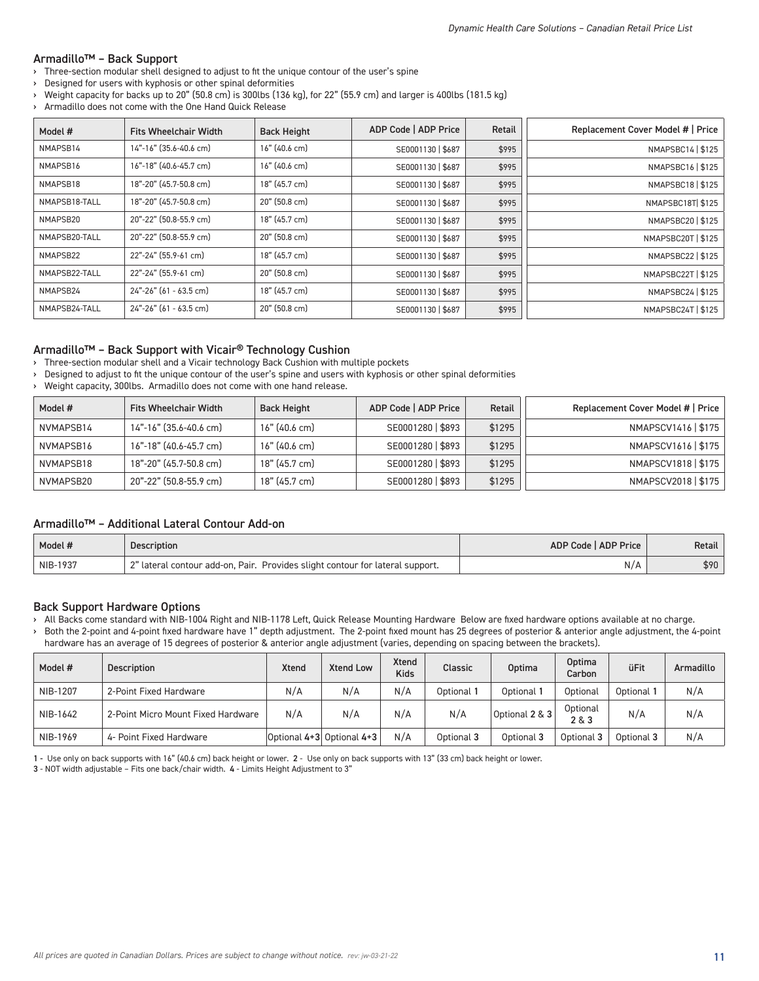## Armadillo™ – Back Support

- > Three-section modular shell designed to adjust to fit the unique contour of the user's spine
- Designed for users with kyphosis or other spinal deformities
- › Weight capacity for backs up to 20" (50.8 cm) is 300lbs (136 kg), for 22" (55.9 cm) and larger is 400lbs (181.5 kg)
- Armadillo does not come with the One Hand Quick Release

| Model #       | <b>Fits Wheelchair Width</b> | <b>Back Height</b> | ADP Code   ADP Price | Retail | Replacement Cover Model #   Price |
|---------------|------------------------------|--------------------|----------------------|--------|-----------------------------------|
| NMAPSB14      | 14"-16" (35.6-40.6 cm)       | $16"$ (40.6 cm)    | SE0001130   \$687    | \$995  | NMAPSBC14   \$125                 |
| NMAPSB16      | 16"-18" (40.6-45.7 cm)       | 16" (40.6 cm)      | SE0001130   \$687    | \$995  | NMAPSBC16   \$125                 |
| NMAPSB18      | 18"-20" (45.7-50.8 cm)       | 18" (45.7 cm)      | SE0001130   \$687    | \$995  | NMAPSBC18   \$125                 |
| NMAPSB18-TALL | 18"-20" (45.7-50.8 cm)       | 20" (50.8 cm)      | SE0001130   \$687    | \$995  | NMAPSBC18T \$125                  |
| NMAPSB20      | 20"-22" (50.8-55.9 cm)       | 18" (45.7 cm)      | SE0001130   \$687    | \$995  | NMAPSBC20   \$125                 |
| NMAPSB20-TALL | 20"-22" (50.8-55.9 cm)       | 20" (50.8 cm)      | SE0001130   \$687    | \$995  | NMAPSBC20T   \$125                |
| NMAPSB22      | 22"-24" (55.9-61 cm)         | 18" (45.7 cm)      | SE0001130   \$687    | \$995  | NMAPSBC22   \$125                 |
| NMAPSB22-TALL | 22"-24" (55.9-61 cm)         | 20" (50.8 cm)      | SE0001130   \$687    | \$995  | NMAPSBC22T   \$125                |
| NMAPSB24      | 24"-26" (61 - 63.5 cm)       | 18" (45.7 cm)      | SE0001130   \$687    | \$995  | NMAPSBC24   \$125                 |
| NMAPSB24-TALL | 24"-26" (61 - 63.5 cm)       | 20" (50.8 cm)      | SE0001130   \$687    | \$995  | NMAPSBC24T   \$125                |

#### Armadillo™ – Back Support with Vicair® Technology Cushion

› Three-section modular shell and a Vicair technology Back Cushion with multiple pockets

› Designed to adjust to fit the unique contour of the user's spine and users with kyphosis or other spinal deformities

› Weight capacity, 300lbs. Armadillo does not come with one hand release.

| Model #   | <b>Fits Wheelchair Width</b> | <b>Back Height</b> | ADP Code   ADP Price | Retail | Replacement Cover Model #   Price |
|-----------|------------------------------|--------------------|----------------------|--------|-----------------------------------|
| NVMAPSB14 | 14"-16" (35.6-40.6 cm)       | $16"$ (40.6 cm)    | SE0001280   \$893    | \$1295 | NMAPSCV1416   \$175               |
| NVMAPSB16 | 16"-18" (40.6-45.7 cm)       | $16"$ (40.6 cm)    | SE0001280   \$893    | \$1295 | NMAPSCV1616   \$175               |
| NVMAPSB18 | 18"-20" (45.7-50.8 cm)       | 18" (45.7 cm)      | SE0001280   \$893    | \$1295 | NMAPSCV1818   \$175               |
| NVMAPSB20 | 20"-22" (50.8-55.9 cm)       | 18" (45.7 cm)      | SE0001280   \$893    | \$1295 | NMAPSCV2018   \$175               |

## Armadillo™ – Additional Lateral Contour Add-on

| Model #  | <b>Description</b>                                                            | ADP Code   ADP Price | Retail |
|----------|-------------------------------------------------------------------------------|----------------------|--------|
| NIB-1937 | 2" lateral contour add-on, Pair. Provides slight contour for lateral support. | N/A                  | \$90   |

#### Back Support Hardware Options

› All Backs come standard with NIB-1004 Right and NIB-1178 Left, Quick Release Mounting Hardware Below are fixed hardware options available at no charge.

› Both the 2-point and 4-point fixed hardware have 1" depth adjustment. The 2-point fixed mount has 25 degrees of posterior & anterior angle adjustment, the 4-point hardware has an average of 15 degrees of posterior & anterior angle adjustment (varies, depending on spacing between the brackets).

| Model #  | <b>Description</b>                 | <b>Xtend</b> | <b>Xtend Low</b>          | <b>Xtend</b><br><b>Kids</b> | Classic    | <b>Optima</b>  | <b>Optima</b><br>Carbon | <b>üFit</b> | Armadillo |
|----------|------------------------------------|--------------|---------------------------|-----------------------------|------------|----------------|-------------------------|-------------|-----------|
| NIB-1207 | 2-Point Fixed Hardware             | N/A          | N/A                       | N/A                         | Optional   | Optional       | Optional                | Optional 1  | N/A       |
| NIB-1642 | 2-Point Micro Mount Fixed Hardware | N/A          | N/A                       | N/A                         | N/A        | Optional 2 & 3 | Optional<br>2 & 3       | N/A         | N/A       |
| NIB-1969 | 4- Point Fixed Hardware            |              | Optional 4+3 Optional 4+3 | N/A                         | Optional 3 | Optional 3     | Optional 3              | Optional 3  | N/A       |

1 - Use only on back supports with 16" (40.6 cm) back height or lower. 2 - Use only on back supports with 13" (33 cm) back height or lower.

3 - NOT width adjustable – Fits one back/chair width. 4 - Limits Height Adjustment to 3"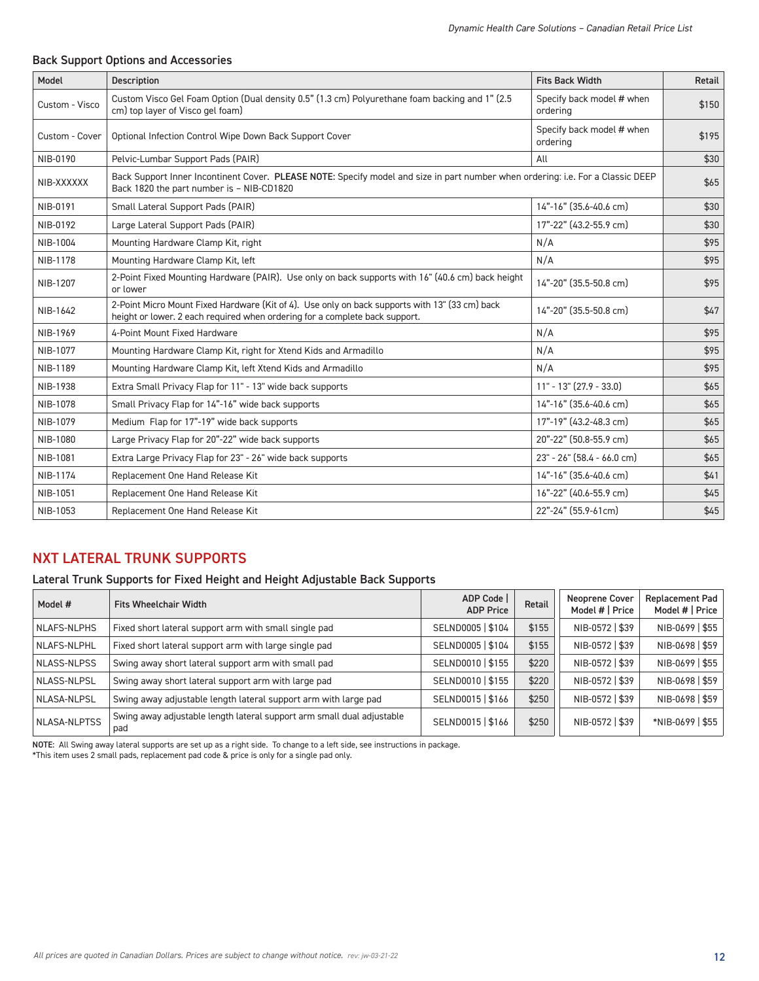## Back Support Options and Accessories

| Model          | <b>Description</b>                                                                                                                                                            | <b>Fits Back Width</b>                | Retail |
|----------------|-------------------------------------------------------------------------------------------------------------------------------------------------------------------------------|---------------------------------------|--------|
| Custom - Visco | Custom Visco Gel Foam Option (Dual density 0.5" (1.3 cm) Polyurethane foam backing and 1" (2.5<br>cm) top layer of Visco gel foam)                                            | Specify back model # when<br>ordering | \$150  |
| Custom - Cover | Optional Infection Control Wipe Down Back Support Cover                                                                                                                       | Specify back model # when<br>ordering | \$195  |
| NIB-0190       | Pelvic-Lumbar Support Pads (PAIR)                                                                                                                                             | All                                   | \$30   |
| NIB-XXXXXX     | Back Support Inner Incontinent Cover. PLEASE NOTE: Specify model and size in part number when ordering: i.e. For a Classic DEEP<br>Back 1820 the part number is - NIB-CD1820  |                                       | \$65   |
| NIB-0191       | Small Lateral Support Pads (PAIR)                                                                                                                                             | 14"-16" (35.6-40.6 cm)                | \$30   |
| NIB-0192       | Large Lateral Support Pads (PAIR)                                                                                                                                             | 17"-22" (43.2-55.9 cm)                | \$30   |
| NIB-1004       | Mounting Hardware Clamp Kit, right                                                                                                                                            | N/A                                   | \$95   |
| NIB-1178       | Mounting Hardware Clamp Kit, left                                                                                                                                             | N/A                                   | \$95   |
| NIB-1207       | 2-Point Fixed Mounting Hardware (PAIR). Use only on back supports with 16" (40.6 cm) back height<br>or lower                                                                  | 14"-20" (35.5-50.8 cm)                | \$95   |
| NIB-1642       | 2-Point Micro Mount Fixed Hardware (Kit of 4). Use only on back supports with 13" (33 cm) back<br>height or lower. 2 each required when ordering for a complete back support. | 14"-20" (35.5-50.8 cm)                | \$47   |
| NIB-1969       | 4-Point Mount Fixed Hardware                                                                                                                                                  | N/A                                   | \$95   |
| NIB-1077       | Mounting Hardware Clamp Kit, right for Xtend Kids and Armadillo                                                                                                               | N/A                                   | \$95   |
| NIB-1189       | Mounting Hardware Clamp Kit, left Xtend Kids and Armadillo                                                                                                                    | N/A                                   | \$95   |
| NIB-1938       | Extra Small Privacy Flap for 11" - 13" wide back supports                                                                                                                     | $11" - 13" (27.9 - 33.0)$             | \$65   |
| NIB-1078       | Small Privacy Flap for 14"-16" wide back supports                                                                                                                             | 14"-16" (35.6-40.6 cm)                | \$65   |
| NIB-1079       | Medium Flap for 17"-19" wide back supports                                                                                                                                    | 17"-19" (43.2-48.3 cm)                | \$65   |
| NIB-1080       | Large Privacy Flap for 20"-22" wide back supports                                                                                                                             | 20"-22" (50.8-55.9 cm)                | \$65   |
| NIB-1081       | Extra Large Privacy Flap for 23" - 26" wide back supports                                                                                                                     | $23" - 26"$ (58.4 - 66.0 cm)          | \$65   |
| NIB-1174       | Replacement One Hand Release Kit                                                                                                                                              | 14"-16" (35.6-40.6 cm)                | \$41   |
| NIB-1051       | Replacement One Hand Release Kit                                                                                                                                              | 16"-22" (40.6-55.9 cm)                | \$45   |
| NIB-1053       | Replacement One Hand Release Kit                                                                                                                                              | 22"-24" (55.9-61cm)                   | \$45   |

# NXT LATERAL TRUNK SUPPORTS

## Lateral Trunk Supports for Fixed Height and Height Adjustable Back Supports

| Model #             | <b>Fits Wheelchair Width</b>                                                  | ADP Code<br><b>ADP Price</b> | Retail | <b>Neoprene Cover</b><br>Model #   Price | <b>Replacement Pad</b><br>Model #   Price |
|---------------------|-------------------------------------------------------------------------------|------------------------------|--------|------------------------------------------|-------------------------------------------|
| NLAFS-NLPHS         | Fixed short lateral support arm with small single pad                         | SELND0005   \$104            | \$155  | NIB-0572   \$39                          | NIB-0699   \$55                           |
| NLAFS-NLPHL         | Fixed short lateral support arm with large single pad                         | SELND0005   \$104            | \$155  | NIB-0572   \$39                          | NIB-0698   \$59                           |
| NLASS-NLPSS         | Swing away short lateral support arm with small pad                           | SELND0010   \$155            | \$220  | NIB-0572   \$39                          | NIB-0699   \$55                           |
| NLASS-NLPSL         | Swing away short lateral support arm with large pad                           | SELND0010   \$155            | \$220  | NIB-0572   \$39                          | NIB-0698   \$59                           |
| NLASA-NLPSL         | Swing away adjustable length lateral support arm with large pad               | SELND0015   \$166            | \$250  | NIB-0572   \$39                          | NIB-0698   \$59                           |
| <b>NLASA-NLPTSS</b> | Swing away adjustable length lateral support arm small dual adjustable<br>pad | SELND0015   \$166            | \$250  | NIB-0572   \$39                          | *NIB-0699   \$55                          |

NOTE: All Swing away lateral supports are set up as a right side. To change to a left side, see instructions in package.

\*This item uses 2 small pads, replacement pad code & price is only for a single pad only.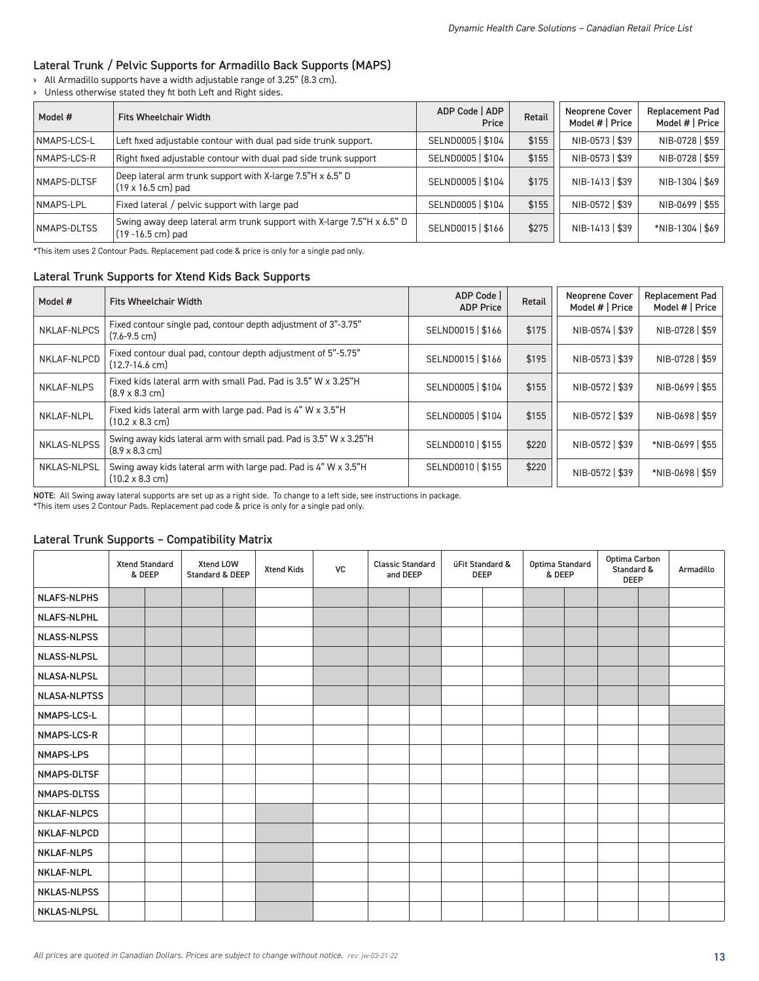## Lateral Trunk / Pelvic Supports for Armadillo Back Supports (MAPS)

› All Armadillo supports have a width adjustable range of 3.25" (8.3 cm).

› Unless otherwise stated they fit both Left and Right sides.

| Model #            | <b>Fits Wheelchair Width</b>                                                                    | ADP Code   ADP<br>Price | Retail | <b>Neoprene Cover</b><br>Model #   Price | <b>Replacement Pad</b><br>Model #   Price |
|--------------------|-------------------------------------------------------------------------------------------------|-------------------------|--------|------------------------------------------|-------------------------------------------|
| NMAPS-LCS-L        | Left fixed adjustable contour with dual pad side trunk support.                                 | SELND0005   \$104       | \$155  | NIB-0573   \$39                          | NIB-0728   \$59                           |
| NMAPS-LCS-R        | Right fixed adjustable contour with dual pad side trunk support                                 | SELND0005   \$104       | \$155  | NIB-0573   \$39                          | NIB-0728   \$59                           |
| NMAPS-DLTSF        | Deep lateral arm trunk support with X-large 7.5"H x 6.5" D<br>$(19 \times 16.5 \text{ cm})$ pad | SELND0005   \$104       | \$175  | NIB-1413   \$39                          | NIB-1304   \$69                           |
| NMAPS-LPL          | Fixed lateral / pelvic support with large pad                                                   | SELND0005   \$104       | \$155  | NIB-0572   \$39                          | NIB-0699   \$55                           |
| <b>NMAPS-DLTSS</b> | Swing away deep lateral arm trunk support with X-large 7.5"H x 6.5" D<br>$(19 - 16.5$ cm) pad   | SELND0015   \$166       | \$275  | NIB-1413   \$39                          | *NIB-1304   \$69                          |

\*This item uses 2 Contour Pads. Replacement pad code & price is only for a single pad only.

## Lateral Trunk Supports for Xtend Kids Back Supports

| Model #            | <b>Fits Wheelchair Width</b>                                                                        | ADP Code<br><b>ADP Price</b> | Retail | <b>Neoprene Cover</b><br>Model #   Price | Replacement Pad<br>Model #   Price |
|--------------------|-----------------------------------------------------------------------------------------------------|------------------------------|--------|------------------------------------------|------------------------------------|
| <b>NKLAF-NLPCS</b> | Fixed contour single pad, contour depth adjustment of 3"-3.75"<br>$(7.6 - 9.5$ cm)                  | SELND0015   \$166            | \$175  | NIB-0574   \$39                          | NIB-0728   \$59                    |
| NKLAF-NLPCD        | Fixed contour dual pad, contour depth adjustment of 5"-5.75"<br>(12.7-14.6 cm)                      | SELND0015   \$166            | \$195  | NIB-0573   \$39                          | NIB-0728   \$59                    |
| <b>NKLAF-NLPS</b>  | Fixed kids lateral arm with small Pad. Pad is 3.5" W x 3.25"H<br>$(8.9 \times 8.3 \text{ cm})$      | SELND0005   \$104            | \$155  | NIB-0572   \$39                          | NIB-0699   \$55                    |
| NKLAF-NLPL         | Fixed kids lateral arm with large pad. Pad is 4" W x 3.5"H<br>$(10.2 \times 8.3 \text{ cm})$        | SELND0005   \$104            | \$155  | NIB-0572   \$39                          | NIB-0698   \$59                    |
| <b>NKLAS-NLPSS</b> | Swing away kids lateral arm with small pad. Pad is 3.5" W x 3.25"H<br>$(8.9 \times 8.3 \text{ cm})$ | SELND0010   \$155            | \$220  | NIB-0572   \$39                          | *NIB-0699   \$55                   |
| NKLAS-NLPSL        | Swing away kids lateral arm with large pad. Pad is 4" W x 3.5"H<br>$(10.2 \times 8.3 \text{ cm})$   | SELND0010   \$155            | \$220  | NIB-0572   \$39                          | *NIB-0698   \$59                   |

NOTE: All Swing away lateral supports are set up as a right side. To change to a left side, see instructions in package.

\*This item uses 2 Contour Pads. Replacement pad code & price is only for a single pad only.

#### Lateral Trunk Supports – Compatibility Matrix

|                     | <b>Xtend Standard</b><br>& DEEP | Xtend LOW<br>Standard & DEEP | <b>Xtend Kids</b> | <b>VC</b> | <b>Classic Standard</b><br>and DEEP |  | üFit Standard &<br>DEEP | Optima Standard<br>& DEEP | Optima Carbon<br>Standard &<br>DEEP | Armadillo |
|---------------------|---------------------------------|------------------------------|-------------------|-----------|-------------------------------------|--|-------------------------|---------------------------|-------------------------------------|-----------|
| <b>NLAFS-NLPHS</b>  |                                 |                              |                   |           |                                     |  |                         |                           |                                     |           |
| <b>NLAFS-NLPHL</b>  |                                 |                              |                   |           |                                     |  |                         |                           |                                     |           |
| <b>NLASS-NLPSS</b>  |                                 |                              |                   |           |                                     |  |                         |                           |                                     |           |
| <b>NLASS-NLPSL</b>  |                                 |                              |                   |           |                                     |  |                         |                           |                                     |           |
| <b>NLASA-NLPSL</b>  |                                 |                              |                   |           |                                     |  |                         |                           |                                     |           |
| <b>NLASA-NLPTSS</b> |                                 |                              |                   |           |                                     |  |                         |                           |                                     |           |
| NMAPS-LCS-L         |                                 |                              |                   |           |                                     |  |                         |                           |                                     |           |
| NMAPS-LCS-R         |                                 |                              |                   |           |                                     |  |                         |                           |                                     |           |
| <b>NMAPS-LPS</b>    |                                 |                              |                   |           |                                     |  |                         |                           |                                     |           |
| NMAPS-DLTSF         |                                 |                              |                   |           |                                     |  |                         |                           |                                     |           |
| NMAPS-DLTSS         |                                 |                              |                   |           |                                     |  |                         |                           |                                     |           |
| <b>NKLAF-NLPCS</b>  |                                 |                              |                   |           |                                     |  |                         |                           |                                     |           |
| <b>NKLAF-NLPCD</b>  |                                 |                              |                   |           |                                     |  |                         |                           |                                     |           |
| <b>NKLAF-NLPS</b>   |                                 |                              |                   |           |                                     |  |                         |                           |                                     |           |
| <b>NKLAF-NLPL</b>   |                                 |                              |                   |           |                                     |  |                         |                           |                                     |           |
| <b>NKLAS-NLPSS</b>  |                                 |                              |                   |           |                                     |  |                         |                           |                                     |           |
| <b>NKLAS-NLPSL</b>  |                                 |                              |                   |           |                                     |  |                         |                           |                                     |           |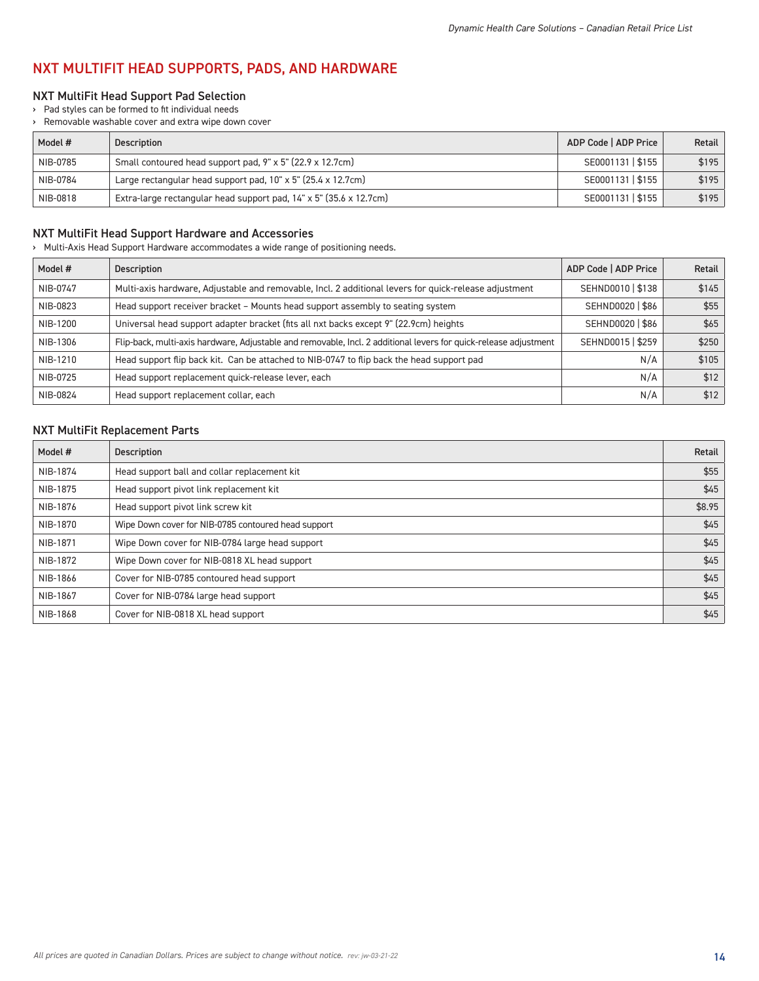# NXT MULTIFIT HEAD SUPPORTS, PADS, AND HARDWARE

## NXT MultiFit Head Support Pad Selection

› Pad styles can be formed to fit individual needs

› Removable washable cover and extra wipe down cover

| Model #  | <b>Description</b>                                                         | ADP Code   ADP Price | Retail |
|----------|----------------------------------------------------------------------------|----------------------|--------|
| NIB-0785 | Small contoured head support pad, 9" x 5" (22.9 x 12.7cm)                  | SE0001131   \$155    | \$195  |
| NIB-0784 | Large rectangular head support pad, $10" \times 5"$ (25.4 $\times$ 12.7cm) | SE0001131   \$155    | \$195  |
| NIB-0818 | Extra-large rectangular head support pad, 14" x 5" (35.6 x 12.7cm)         | SE0001131   \$155    | \$195  |

## NXT MultiFit Head Support Hardware and Accessories

› Multi-Axis Head Support Hardware accommodates a wide range of positioning needs.

| Model #  | <b>Description</b>                                                                                               | ADP Code   ADP Price | Retail |
|----------|------------------------------------------------------------------------------------------------------------------|----------------------|--------|
| NIB-0747 | Multi-axis hardware, Adjustable and removable, Incl. 2 additional levers for quick-release adjustment            | SEHND0010   \$138    | \$145  |
| NIB-0823 | Head support receiver bracket - Mounts head support assembly to seating system                                   | SEHND0020   \$86     | \$55   |
| NIB-1200 | Universal head support adapter bracket (fits all nxt backs except 9" (22.9cm) heights                            | SEHND0020   \$86     | \$65   |
| NIB-1306 | Flip-back, multi-axis hardware, Adjustable and removable, Incl. 2 additional levers for quick-release adjustment | SEHND0015   \$259    | \$250  |
| NIB-1210 | Head support flip back kit. Can be attached to NIB-0747 to flip back the head support pad                        | N/A                  | \$105  |
| NIB-0725 | Head support replacement quick-release lever, each                                                               | N/A                  | \$12   |
| NIB-0824 | Head support replacement collar, each                                                                            | N/A                  | \$12   |

### NXT MultiFit Replacement Parts

| Model #  | <b>Description</b>                                  | Retail |
|----------|-----------------------------------------------------|--------|
| NIB-1874 | Head support ball and collar replacement kit        | \$55   |
| NIB-1875 | Head support pivot link replacement kit             | \$45   |
| NIB-1876 | Head support pivot link screw kit                   | \$8.95 |
| NIB-1870 | Wipe Down cover for NIB-0785 contoured head support | \$45   |
| NIB-1871 | Wipe Down cover for NIB-0784 large head support     | \$45   |
| NIB-1872 | Wipe Down cover for NIB-0818 XL head support        | \$45   |
| NIB-1866 | Cover for NIB-0785 contoured head support           | \$45   |
| NIB-1867 | Cover for NIB-0784 large head support               | \$45   |
| NIB-1868 | Cover for NIB-0818 XL head support                  | \$45   |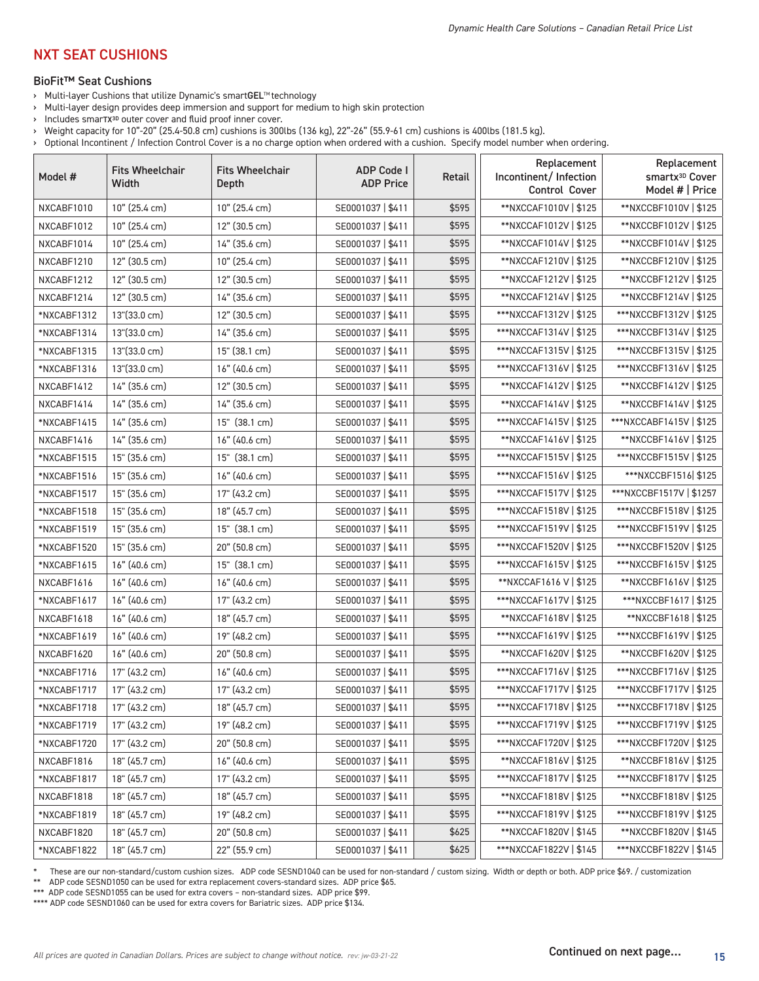# NXT SEAT CUSHIONS

#### BioFit™ Seat Cushions

- › Multi-layer Cushions that utilize Dynamic's smartGEL™ technology
- › Multi-layer design provides deep immersion and support for medium to high skin protection
- › Includes smarTX3D outer cover and fluid proof inner cover.
- › Weight capacity for 10"-20" (25.4-50.8 cm) cushions is 300lbs (136 kg), 22"-26" (55.9-61 cm) cushions is 400lbs (181.5 kg).
- › Optional Incontinent / Infection Control Cover is a no charge option when ordered with a cushion. Specify model number when ordering.

| Model #     | <b>Fits Wheelchair</b><br>Width | <b>Fits Wheelchair</b><br>Depth | <b>ADP Code I</b><br><b>ADP Price</b> | Retail | Replacement<br>Incontinent/Infection<br>Control Cover | Replacement<br>smartx <sup>3D</sup> Cover<br>Model #   Price |
|-------------|---------------------------------|---------------------------------|---------------------------------------|--------|-------------------------------------------------------|--------------------------------------------------------------|
| NXCABF1010  | 10" (25.4 cm)                   | 10" (25.4 cm)                   | SE0001037   \$411                     | \$595  | **NXCCAF1010V   \$125                                 | **NXCCBF1010V   \$125                                        |
| NXCABF1012  | 10" (25.4 cm)                   | 12" (30.5 cm)                   | SE0001037   \$411                     | \$595  | **NXCCAF1012V   \$125                                 | **NXCCBF1012V   \$125                                        |
| NXCABF1014  | 10" (25.4 cm)                   | 14" (35.6 cm)                   | SE0001037   \$411                     | \$595  | **NXCCAF1014V   \$125                                 | **NXCCBF1014V   \$125                                        |
| NXCABF1210  | 12" (30.5 cm)                   | 10" (25.4 cm)                   | SE0001037   \$411                     | \$595  | **NXCCAF1210V   \$125                                 | **NXCCBF1210V   \$125                                        |
| NXCABF1212  | 12" (30.5 cm)                   | 12" (30.5 cm)                   | SE0001037   \$411                     | \$595  | **NXCCAF1212V   \$125                                 | **NXCCBF1212V   \$125                                        |
| NXCABF1214  | 12" (30.5 cm)                   | 14" (35.6 cm)                   | SE0001037   \$411                     | \$595  | **NXCCAF1214V   \$125                                 | **NXCCBF1214V   \$125                                        |
| *NXCABF1312 | 13"(33.0 cm)                    | 12" (30.5 cm)                   | SE0001037   \$411                     | \$595  | ***NXCCAF1312V   \$125                                | ***NXCCBF1312V   \$125                                       |
| *NXCABF1314 | 13"(33.0 cm)                    | 14" (35.6 cm)                   | SE0001037   \$411                     | \$595  | ***NXCCAF1314V   \$125                                | ***NXCCBF1314V   \$125                                       |
| *NXCABF1315 | 13"(33.0 cm)                    | 15" (38.1 cm)                   | SE0001037   \$411                     | \$595  | ***NXCCAF1315V   \$125                                | ***NXCCBF1315V   \$125                                       |
| *NXCABF1316 | 13"(33.0 cm)                    | 16" (40.6 cm)                   | SE0001037   \$411                     | \$595  | ***NXCCAF1316V   \$125                                | ***NXCCBF1316V   \$125                                       |
| NXCABF1412  | 14" (35.6 cm)                   | 12" (30.5 cm)                   | SE0001037   \$411                     | \$595  | **NXCCAF1412V   \$125                                 | **NXCCBF1412V   \$125                                        |
| NXCABF1414  | 14" (35.6 cm)                   | 14" (35.6 cm)                   | SE0001037   \$411                     | \$595  | **NXCCAF1414V   \$125                                 | **NXCCBF1414V   \$125                                        |
| *NXCABF1415 | 14" (35.6 cm)                   | 15" (38.1 cm)                   | SE0001037   \$411                     | \$595  | ***NXCCAF1415V   \$125                                | ***NXCCABF1415V   \$125                                      |
| NXCABF1416  | 14" (35.6 cm)                   | 16" (40.6 cm)                   | SE0001037   \$411                     | \$595  | **NXCCAF1416V   \$125                                 | **NXCCBF1416V   \$125                                        |
| *NXCABF1515 | 15" (35.6 cm)                   | 15" (38.1 cm)                   | SE0001037   \$411                     | \$595  | ***NXCCAF1515V   \$125                                | ***NXCCBF1515V   \$125                                       |
| *NXCABF1516 | 15" (35.6 cm)                   | 16" (40.6 cm)                   | SE0001037   \$411                     | \$595  | ***NXCCAF1516V   \$125                                | ***NXCCBF1516 \$125                                          |
| *NXCABF1517 | 15" (35.6 cm)                   | 17" (43.2 cm)                   | SE0001037   \$411                     | \$595  | ***NXCCAF1517V   \$125                                | ***NXCCBF1517V   \$1257                                      |
| *NXCABF1518 | 15" (35.6 cm)                   | 18" (45.7 cm)                   | SE0001037   \$411                     | \$595  | ***NXCCAF1518V   \$125                                | ***NXCCBF1518V   \$125                                       |
| *NXCABF1519 | 15" (35.6 cm)                   | 15" (38.1 cm)                   | SE0001037   \$411                     | \$595  | ***NXCCAF1519V   \$125                                | ***NXCCBF1519V   \$125                                       |
| *NXCABF1520 | 15" (35.6 cm)                   | 20" (50.8 cm)                   | SE0001037   \$411                     | \$595  | ***NXCCAF1520V   \$125                                | ***NXCCBF1520V   \$125                                       |
| *NXCABF1615 | 16" (40.6 cm)                   | 15" (38.1 cm)                   | SE0001037   \$411                     | \$595  | ***NXCCAF1615V   \$125                                | ***NXCCBF1615V   \$125                                       |
| NXCABF1616  | 16" (40.6 cm)                   | 16" (40.6 cm)                   | SE0001037   \$411                     | \$595  | **NXCCAF1616 V   \$125                                | **NXCCBF1616V   \$125                                        |
| *NXCABF1617 | 16" (40.6 cm)                   | 17" (43.2 cm)                   | SE0001037   \$411                     | \$595  | ***NXCCAF1617V   \$125                                | ***NXCCBF1617   \$125                                        |
| NXCABF1618  | 16" (40.6 cm)                   | 18" (45.7 cm)                   | SE0001037   \$411                     | \$595  | **NXCCAF1618V   \$125                                 | **NXCCBF1618   \$125                                         |
| *NXCABF1619 | 16" (40.6 cm)                   | 19" (48.2 cm)                   | SE0001037   \$411                     | \$595  | ***NXCCAF1619V   \$125                                | ***NXCCBF1619V   \$125                                       |
| NXCABF1620  | 16" (40.6 cm)                   | 20" (50.8 cm)                   | SE0001037   \$411                     | \$595  | **NXCCAF1620V   \$125                                 | **NXCCBF1620V   \$125                                        |
| *NXCABF1716 | 17" (43.2 cm)                   | 16" (40.6 cm)                   | SE0001037   \$411                     | \$595  | ***NXCCAF1716V   \$125                                | ***NXCCBF1716V   \$125                                       |
| *NXCABF1717 | 17" (43.2 cm)                   | 17" (43.2 cm)                   | SE0001037   \$411                     | \$595  | ***NXCCAF1717V   \$125                                | ***NXCCBF1717V   \$125                                       |
| *NXCABF1718 | 17" (43.2 cm)                   | 18" (45.7 cm)                   | SE0001037   \$411                     | \$595  | ***NXCCAF1718V   \$125                                | ***NXCCBF1718V   \$125                                       |
| *NXCABF1719 | 17" (43.2 cm)                   | 19" (48.2 cm)                   | SE0001037   \$411                     | \$595  | ***NXCCAF1719V   \$125                                | ***NXCCBF1719V   \$125                                       |
| *NXCABF1720 | 17" (43.2 cm)                   | 20" (50.8 cm)                   | SE0001037   \$411                     | \$595  | ***NXCCAF1720V   \$125                                | ***NXCCBF1720V   \$125                                       |
| NXCABF1816  | 18" (45.7 cm)                   | 16" (40.6 cm)                   | SE0001037   \$411                     | \$595  | **NXCCAF1816V   \$125                                 | **NXCCBF1816V   \$125                                        |
| *NXCABF1817 | 18" (45.7 cm)                   | 17" (43.2 cm)                   | SE0001037   \$411                     | \$595  | ***NXCCAF1817V   \$125                                | ***NXCCBF1817V   \$125                                       |
| NXCABF1818  | 18" (45.7 cm)                   | 18" (45.7 cm)                   | SE0001037   \$411                     | \$595  | **NXCCAF1818V   \$125                                 | **NXCCBF1818V   \$125                                        |
| *NXCABF1819 | 18" (45.7 cm)                   | 19" (48.2 cm)                   | SE0001037   \$411                     | \$595  | ***NXCCAF1819V   \$125                                | ***NXCCBF1819V   \$125                                       |
| NXCABF1820  | 18" (45.7 cm)                   | 20" (50.8 cm)                   | SE0001037   \$411                     | \$625  | **NXCCAF1820V   \$145                                 | **NXCCBF1820V   \$145                                        |
| *NXCABF1822 | 18" (45.7 cm)                   | 22" (55.9 cm)                   | SE0001037   \$411                     | \$625  | ***NXCCAF1822V   \$145                                | ***NXCCBF1822V   \$145                                       |

\* These are our non-standard/custom cushion sizes. ADP code SESND1040 can be used for non-standard / custom sizing. Width or depth or both. ADP price \$69. / customization

\*\* ADP code SESND1050 can be used for extra replacement covers-standard sizes. ADP price \$65.

\*\*\* ADP code SESND1055 can be used for extra covers – non-standard sizes. ADP price \$99.

\*\*\*\* ADP code SESND1060 can be used for extra covers for Bariatric sizes. ADP price \$134.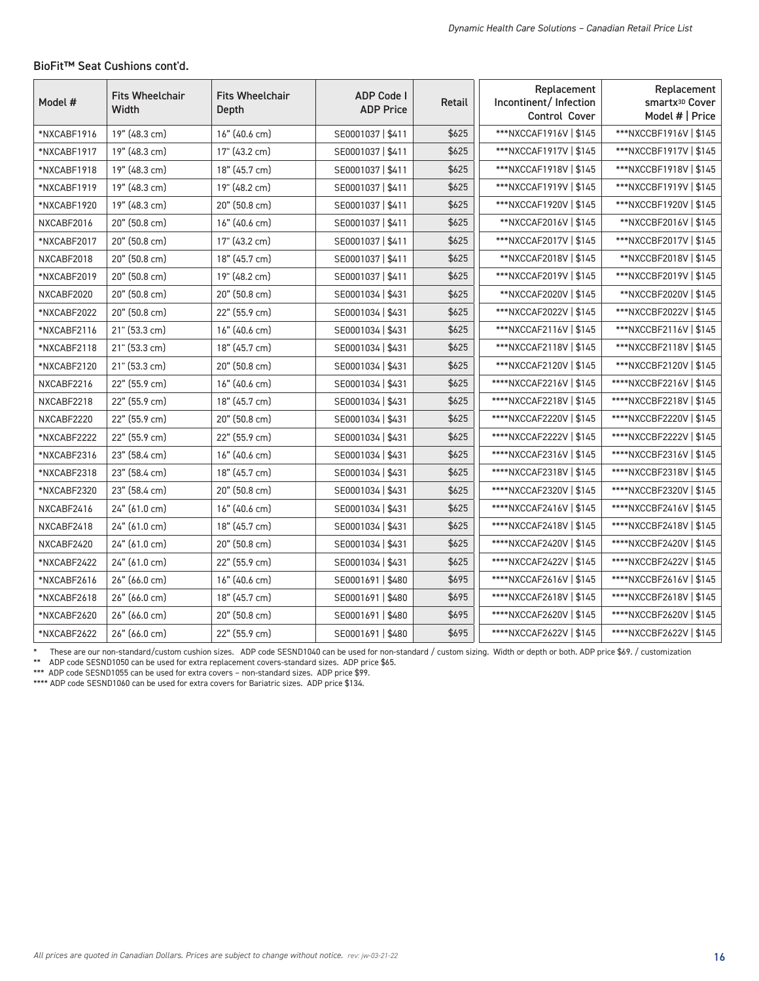| Model #     | <b>Fits Wheelchair</b><br>Width | <b>Fits Wheelchair</b><br>Depth | <b>ADP Code I</b><br><b>ADP Price</b> | Retail | Replacement<br>Incontinent/Infection<br>Control Cover | Replacement<br>smartx <sup>3D</sup> Cover<br>Model #   Price |
|-------------|---------------------------------|---------------------------------|---------------------------------------|--------|-------------------------------------------------------|--------------------------------------------------------------|
| *NXCABF1916 | 19" (48.3 cm)                   | 16" (40.6 cm)                   | SE0001037   \$411                     | \$625  | ***NXCCAF1916V   \$145                                | ***NXCCBF1916V   \$145                                       |
| *NXCABF1917 | 19" (48.3 cm)                   | 17" (43.2 cm)                   | SE0001037   \$411                     | \$625  | ***NXCCAF1917V   \$145                                | ***NXCCBF1917V   \$145                                       |
| *NXCABF1918 | 19" (48.3 cm)                   | 18" (45.7 cm)                   | SE0001037   \$411                     | \$625  | ***NXCCAF1918V   \$145                                | ***NXCCBF1918V   \$145                                       |
| *NXCABF1919 | 19" (48.3 cm)                   | 19" (48.2 cm)                   | SE0001037   \$411                     | \$625  | ***NXCCAF1919V   \$145                                | ***NXCCBF1919V   \$145                                       |
| *NXCABF1920 | 19" (48.3 cm)                   | 20" (50.8 cm)                   | SE0001037   \$411                     | \$625  | ***NXCCAF1920V   \$145                                | ***NXCCBF1920V   \$145                                       |
| NXCABF2016  | 20" (50.8 cm)                   | 16" (40.6 cm)                   | SE0001037   \$411                     | \$625  | **NXCCAF2016V   \$145                                 | **NXCCBF2016V   \$145                                        |
| *NXCABF2017 | 20" (50.8 cm)                   | 17" (43.2 cm)                   | SE0001037   \$411                     | \$625  | ***NXCCAF2017V   \$145                                | ***NXCCBF2017V   \$145                                       |
| NXCABF2018  | 20" (50.8 cm)                   | 18" (45.7 cm)                   | SE0001037   \$411                     | \$625  | **NXCCAF2018V   \$145                                 | **NXCCBF2018V   \$145                                        |
| *NXCABF2019 | 20" (50.8 cm)                   | 19" (48.2 cm)                   | SE0001037   \$411                     | \$625  | ***NXCCAF2019V   \$145                                | ***NXCCBF2019V   \$145                                       |
| NXCABF2020  | 20" (50.8 cm)                   | 20" (50.8 cm)                   | SE0001034   \$431                     | \$625  | **NXCCAF2020V   \$145                                 | **NXCCBF2020V   \$145                                        |
| *NXCABF2022 | 20" (50.8 cm)                   | 22" (55.9 cm)                   | SE0001034   \$431                     | \$625  | ***NXCCAF2022V   \$145                                | ***NXCCBF2022V   \$145                                       |
| *NXCABF2116 | 21" (53.3 cm)                   | 16" (40.6 cm)                   | SE0001034   \$431                     | \$625  | ***NXCCAF2116V   \$145                                | ***NXCCBF2116V   \$145                                       |
| *NXCABF2118 | 21" (53.3 cm)                   | 18" (45.7 cm)                   | SE0001034   \$431                     | \$625  | ***NXCCAF2118V   \$145                                | ***NXCCBF2118V   \$145                                       |
| *NXCABF2120 | 21" (53.3 cm)                   | 20" (50.8 cm)                   | SE0001034   \$431                     | \$625  | ***NXCCAF2120V   \$145                                | ***NXCCBF2120V   \$145                                       |

#### BioFit™ Seat Cushions cont'd.

These are our non-standard/custom cushion sizes. ADP code SESND1040 can be used for non-standard / custom sizing. Width or depth or both. ADP price \$69. / customization

NXCABF2216 22" (55.9 cm) 16" (40.6 cm) SE0001034 | \$431 \$625 | \*\*\*\*NXCCAF2216V | \$145 \*\*\*\*NXCCBF2216V | \$145 NXCABF2218 22" (55.9 cm) 18" (45.7 cm) SE0001034 | \$431 \$431 \$625 | \*\*\*\*NXCCAF2218V | \$145 \*\*\*\*NXCCBF2218V | \$145 NXCABF2220 22" (55.9 cm) 20" (50.8 cm) SE0001034 | \$431 \$625 | \*\*\*\*NXCCAF2220V | \$145 \*\*\*\*NXCCBF2220V | \$145 \*NXCABF2222 22" (55.9 cm) 22" (55.9 cm) SE0001034 | \$431 \$625 | \*\*\*\*NXCCAF2222V | \$145 \*\*\*\*NXCCBF2222V | \$145 \*NXCABF2316 23" (58.4 cm) 16" (40.6 cm) SE0001034 | \$431 \$625 \*\*\*\*NXCCAF2316V | \$145 \*\*\*\*NXCCBF2316V | \$145 \*NXCABF2318 23" (58.4 cm) 18" (45.7 cm) SE0001034 | \$431 \$625 | \*\*\*\*NXCCAF2318V | \$145 \*\*\*\*NXCCBF2318V | \$145 \*NXCABF2320 23" (58.4 cm) 20" (50.8 cm) SE0001034 | \$431 \$431 \$625 | \*\*\*\*NXCCAF2320V | \$145 \*\*\*\*NXCCBF2320V | \$145 NXCABF2416 24" (61.0 cm) 16" (40.6 cm) SE0001034 | \$431 \$625 | \*\*\*\*NXCCAF2416V | \$145 | \*\*\*\*NXCCBF2416V | \$145 NXCABF2418 24" (61.0 cm) 18" (45.7 cm) SE0001034 | \$431 \$625 | \*\*\*\*NXCCAF2418V | \$145 \*\*\*\*NXCCBF2418V | \$145 NXCABF2420 24" (61.0 cm) 20" (50.8 cm) SE0001034 | \$431 \$625 | \*\*\*\*NXCCAF2420V | \$145 \*\*\*\*NXCCBF2420V | \$145 \*NXCABF2422 24" (61.0 cm) 22" (55.9 cm) SE0001034 | \$623 | \*\*\*\*NXCCAF2422V | \$145 | \*\*\*\*NXCCBF2422V | \$145 \*NXCABF2616 26" (66.0 cm) 16" (40.6 cm) SE0001691 | \$480 \$695 \*\*\*\*NXCCAF2616V | \$145 \*\*\*\*NXCCBF2616V | \$145 \*NXCABF2618 26" (66.0 cm) 18" (45.7 cm) SE0001691 | \$480 \$695 | \*\*\*\*NXCCAF2618V | \$145 \*\*\*\*NXCCBF2618V | \$145 \*NXCABF2620 26" (66.0 cm) 20" (50.8 cm) SE0001691 | \$480 \$695 \*\*\*\*NXCCAF2620V | \$145 \*\*\*\*NXCCBF2620V | \$145 \*NXCABF2622 26" (66.0 cm) 22" (55.9 cm) SE0001691 | \$480 \$695 | \*\*\*\*NXCCAF2622V | \$145 \*\*\*\*NXCCBF2622V | \$145

ADP code SESND1050 can be used for extra replacement covers-standard sizes. ADP price \$65.

\*\*\* ADP code SESND1055 can be used for extra covers - non-standard sizes. ADP price \$99.

\*\*\*\* ADP code SESND1060 can be used for extra covers for Bariatric sizes. ADP price \$134.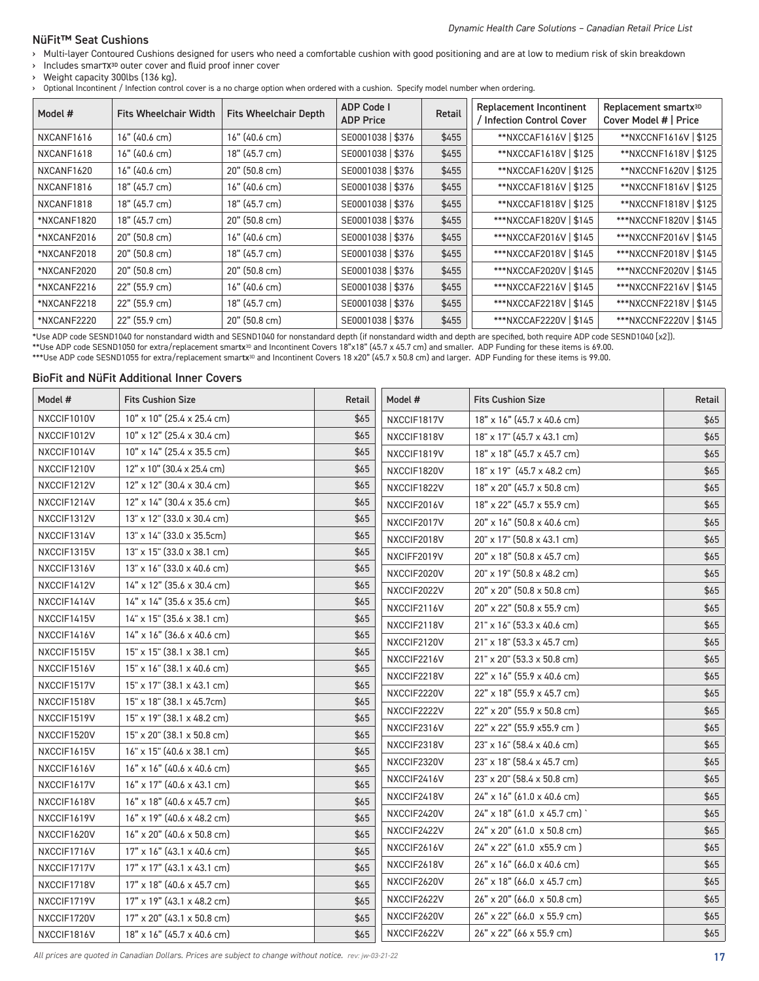## NüFit™ Seat Cushions

- › Multi-layer Contoured Cushions designed for users who need a comfortable cushion with good positioning and are at low to medium risk of skin breakdown
- › Includes smarTX3D outer cover and fluid proof inner cover

› Weight capacity 300lbs (136 kg).

› Optional Incontinent / Infection control cover is a no charge option when ordered with a cushion. Specify model number when ordering.

| Model #     | <b>Fits Wheelchair Width</b> | <b>Fits Wheelchair Depth</b> | <b>ADP Code I</b><br><b>ADP Price</b> | Retail | <b>Replacement Incontinent</b><br>/ Infection Control Cover | Replacement smartx <sup>3D</sup><br>Cover Model #   Price |
|-------------|------------------------------|------------------------------|---------------------------------------|--------|-------------------------------------------------------------|-----------------------------------------------------------|
| NXCANF1616  | $16"$ (40.6 cm)              | 16" (40.6 cm)                | SE0001038   \$376                     | \$455  | **NXCCAF1616V   \$125                                       | **NXCCNF1616V   \$125                                     |
| NXCANF1618  | 16" (40.6 cm)                | 18" (45.7 cm)                | SE0001038   \$376                     | \$455  | **NXCCAF1618V   \$125                                       | **NXCCNF1618V   \$125                                     |
| NXCANF1620  | 16" (40.6 cm)                | 20" (50.8 cm)                | SE0001038   \$376                     | \$455  | **NXCCAF1620V   \$125                                       | **NXCCNF1620V   \$125                                     |
| NXCANF1816  | 18" (45.7 cm)                | 16" (40.6 cm)                | SE0001038   \$376                     | \$455  | **NXCCAF1816V   \$125                                       | **NXCCNF1816V   \$125                                     |
| NXCANF1818  | 18" (45.7 cm)                | 18" (45.7 cm)                | SE0001038   \$376                     | \$455  | **NXCCAF1818V   \$125                                       | **NXCCNF1818V   \$125                                     |
| *NXCANF1820 | 18" (45.7 cm)                | 20" (50.8 cm)                | SE0001038   \$376                     | \$455  | ***NXCCAF1820V   \$145                                      | ***NXCCNF1820V   \$145                                    |
| *NXCANF2016 | 20" (50.8 cm)                | 16" (40.6 cm)                | SE0001038   \$376                     | \$455  | ***NXCCAF2016V   \$145                                      | ***NXCCNF2016V   \$145                                    |
| *NXCANF2018 | $20"$ (50.8 cm)              | 18" (45.7 cm)                | SE0001038   \$376                     | \$455  | ***NXCCAF2018V   \$145                                      | ***NXCCNF2018V   \$145                                    |
| *NXCANF2020 | 20" (50.8 cm)                | 20" (50.8 cm)                | SE0001038   \$376                     | \$455  | ***NXCCAF2020V   \$145                                      | ***NXCCNF2020V   \$145                                    |
| *NXCANF2216 | 22" (55.9 cm)                | 16" (40.6 cm)                | SE0001038   \$376                     | \$455  | ***NXCCAF2216V   \$145                                      | ***NXCCNF2216V   \$145                                    |
| *NXCANF2218 | 22" (55.9 cm)                | 18" (45.7 cm)                | SE0001038   \$376                     | \$455  | ***NXCCAF2218V   \$145                                      | ***NXCCNF2218V   \$145                                    |
| *NXCANF2220 | 22" (55.9 cm)                | 20" (50.8 cm)                | SE0001038   \$376                     | \$455  | ***NXCCAF2220V   \$145                                      | ***NXCCNF2220V   \$145                                    |

\*Use ADP code SESND1040 for nonstandard width and SESND1040 for nonstandard depth (if nonstandard width and depth are specified, both require ADP code SESND1040 [x2]).

\*\*Use ADP code SESND1050 for extra/replacement smartx<sup>3D</sup> and Incontinent Covers 18"x18" (45.7 x 45.7 cm) and smaller. ADP Funding for these items is 69.00.

\*\*\*Use ADP code SESND1055 for extra/replacement smartx<sup>3D</sup> and Incontinent Covers 18 x20" (45.7 x 50.8 cm) and larger. ADP Funding for these items is 99.00.

#### BioFit and NüFit Additional Inner Covers

| Model #     | <b>Fits Cushion Size</b>          | Retail | Model #     | <b>Fits Cushion Size</b>          | Retail |
|-------------|-----------------------------------|--------|-------------|-----------------------------------|--------|
| NXCCIF1010V | 10" x 10" (25.4 x 25.4 cm)        | \$65   | NXCCIF1817V | 18" x 16" (45.7 x 40.6 cm)        | \$65   |
| NXCCIF1012V | 10" x 12" (25.4 x 30.4 cm)        | \$65   | NXCCIF1818V | 18" x 17" (45.7 x 43.1 cm)        | \$65   |
| NXCCIF1014V | 10" x 14" (25.4 x 35.5 cm)        | \$65   | NXCCIF1819V | 18" x 18" (45.7 x 45.7 cm)        | \$65   |
| NXCCIF1210V | 12" x 10" (30.4 x 25.4 cm)        | \$65   | NXCCIF1820V | 18" x 19" (45.7 x 48.2 cm)        | \$65   |
| NXCCIF1212V | $12"$ x $12"$ (30.4 x 30.4 cm)    | \$65   | NXCCIF1822V | 18" x 20" (45.7 x 50.8 cm)        | \$65   |
| NXCCIF1214V | 12" x 14" (30.4 x 35.6 cm)        | \$65   | NXCCIF2016V | 18" x 22" (45.7 x 55.9 cm)        | \$65   |
| NXCCIF1312V | 13" x 12" (33.0 x 30.4 cm)        | \$65   | NXCCIF2017V | 20" x 16" (50.8 x 40.6 cm)        | \$65   |
| NXCCIF1314V | 13" x 14" (33.0 x 35.5cm)         | \$65   | NXCCIF2018V | 20" x 17" (50.8 x 43.1 cm)        | \$65   |
| NXCCIF1315V | 13" x 15" (33.0 x 38.1 cm)        | \$65   | NXCIFF2019V | 20" x 18" (50.8 x 45.7 cm)        | \$65   |
| NXCCIF1316V | 13" x 16" (33.0 x 40.6 cm)        | \$65   | NXCCIF2020V | 20" x 19" (50.8 x 48.2 cm)        | \$65   |
| NXCCIF1412V | 14" x 12" (35.6 x 30.4 cm)        | \$65   | NXCCIF2022V | 20" x 20" (50.8 x 50.8 cm)        | \$65   |
| NXCCIF1414V | 14" x 14" (35.6 x 35.6 cm)        | \$65   | NXCCIF2116V | 20" x 22" (50.8 x 55.9 cm)        | \$65   |
| NXCCIF1415V | $14"$ x $15"$ (35.6 x 38.1 cm)    | \$65   | NXCCIF2118V | 21" x 16" (53.3 x 40.6 cm)        | \$65   |
| NXCCIF1416V | $14"$ x $16"$ (36.6 x 40.6 cm)    | \$65   | NXCCIF2120V | $21" \times 18"$ (53.3 x 45.7 cm) | \$65   |
| NXCCIF1515V | $15" \times 15"$ (38.1 x 38.1 cm) | \$65   | NXCCIF2216V | $21" \times 20"$ (53.3 x 50.8 cm) | \$65   |
| NXCCIF1516V | 15" x 16" (38.1 x 40.6 cm)        | \$65   | NXCCIF2218V | 22" x 16" (55.9 x 40.6 cm)        | \$65   |
| NXCCIF1517V | 15" x 17" (38.1 x 43.1 cm)        | \$65   | NXCCIF2220V | 22" x 18" (55.9 x 45.7 cm)        | \$65   |
| NXCCIF1518V | 15" x 18" (38.1 x 45.7cm)         | \$65   | NXCCIF2222V | 22" x 20" (55.9 x 50.8 cm)        | \$65   |
| NXCCIF1519V | 15" x 19" (38.1 x 48.2 cm)        | \$65   | NXCCIF2316V | 22" x 22" (55.9 x55.9 cm)         | \$65   |
| NXCCIF1520V | 15" x 20" (38.1 x 50.8 cm)        | \$65   | NXCCIF2318V | 23" x 16" (58.4 x 40.6 cm)        | \$65   |
| NXCCIF1615V | $16"$ x $15"$ (40.6 x 38.1 cm)    | \$65   |             | 23" x 18" (58.4 x 45.7 cm)        | \$65   |
| NXCCIF1616V | $16"$ x $16"$ (40.6 x 40.6 cm)    | \$65   | NXCCIF2320V |                                   |        |
| NXCCIF1617V | 16" x 17" (40.6 x 43.1 cm)        | \$65   | NXCCIF2416V | 23" x 20" (58.4 x 50.8 cm)        | \$65   |
| NXCCIF1618V | 16" x 18" (40.6 x 45.7 cm)        | \$65   | NXCCIF2418V | 24" x 16" (61.0 x 40.6 cm)        | \$65   |
| NXCCIF1619V | 16" x 19" (40.6 x 48.2 cm)        | \$65   | NXCCIF2420V | 24" x 18" (61.0 x 45.7 cm)        | \$65   |
| NXCCIF1620V | $16"$ x 20" (40.6 x 50.8 cm)      | \$65   | NXCCIF2422V | 24" x 20" (61.0 x 50.8 cm)        | \$65   |
| NXCCIF1716V | $17"$ x $16"$ (43.1 x 40.6 cm)    | \$65   | NXCCIF2616V | 24" x 22" (61.0 x55.9 cm)         | \$65   |
| NXCCIF1717V | $17"$ x $17"$ (43.1 x 43.1 cm)    | \$65   | NXCCIF2618V | 26" x 16" (66.0 x 40.6 cm)        | \$65   |
| NXCCIF1718V | 17" x 18" (40.6 x 45.7 cm)        | \$65   | NXCCIF2620V | 26" x 18" (66.0 x 45.7 cm)        | \$65   |
| NXCCIF1719V | 17" x 19" (43.1 x 48.2 cm)        | \$65   | NXCCIF2622V | 26" x 20" (66.0 x 50.8 cm)        | \$65   |
| NXCCIF1720V | 17" x 20" (43.1 x 50.8 cm)        | \$65   | NXCCIF2620V | 26" x 22" (66.0 x 55.9 cm)        | \$65   |
| NXCCIF1816V | 18" x 16" (45.7 x 40.6 cm)        | \$65   | NXCCIF2622V | 26" x 22" (66 x 55.9 cm)          | \$65   |

All prices are quoted in Canadian Dollars. Prices are subject to change without notice. rev: jw-03-21-22 17 17